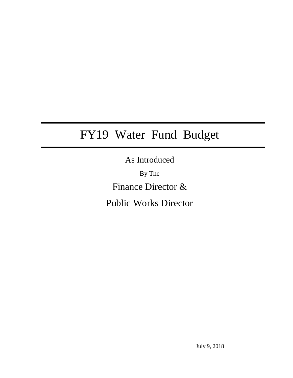# FY19 Water Fund Budget

As Introduced

By The Finance Director &

Public Works Director

July 9, 2018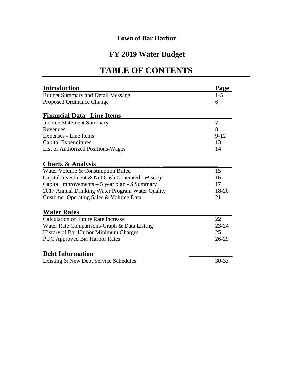# **FY 2019 Water Budget**

# **TABLE OF CONTENTS**

| <b>Introduction</b>                               | Page      |
|---------------------------------------------------|-----------|
| <b>Budget Summary and Detail Message</b>          | $1 - 5$   |
| <b>Proposed Ordinance Change</b>                  | 6         |
| <b>Financial Data – Line Items</b>                |           |
| <b>Income Statement Summary</b>                   | 7         |
| Revenues                                          | 8         |
| Expenses - Line Items                             | $9-12$    |
| <b>Capital Expenditures</b>                       | 13        |
| List of Authorized Positions-Wages                | 14        |
| <b>Charts &amp; Analysis</b>                      |           |
| Water Volume & Consumption Billed                 | 15        |
| Capital Investment & Net Cash Generated - History | 16        |
| Capital Improvements $-5$ year plan - \$ Summary  | 17        |
| 2017 Annual Drinking Water Program Water Quality  | 18-20     |
| Customer Operating Sales & Volume Data            | 21        |
| <b>Water Rates</b>                                |           |
| <b>Calculation of Future Rate Increase</b>        | 22        |
| Water Rate Comparisons-Graph & Data Listing       | $23 - 24$ |
| History of Bar Harbor Minimum Charges             | 25        |
| <b>PUC Approved Bar Harbor Rates</b>              | 26-29     |
| <b>Debt Information</b>                           |           |
| Existing & New Debt Service Schedules             | $30 - 33$ |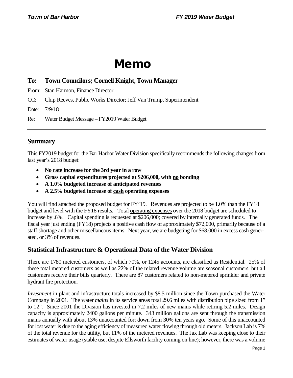# Memo

# **To: Town Councilors; Cornell Knight, Town Manager**

From: Stan Harmon, Finance Director

CC: Chip Reeves, Public Works Director; Jeff Van Trump, Superintendent

Date: 7/9/18

Re: Water Budget Message – FY2019 Water Budget

# **Summary**

This FY2019 budget for the Bar Harbor Water Division specifically recommends the following changes from last year's 2018 budget:

- **No rate increase for the 3rd year in a row**
- **Gross capital expenditures projected at \$206,000, with no bonding**
- **A 1.0% budgeted increase of anticipated revenues**
- **A 2.5% budgeted increase of cash operating expenses**

You will find attached the proposed budget for FY'19. Revenues are projected to be 1.0% than the FY18 budget and level with the FY18 results. Total operating expenses over the 2018 budget are scheduled to increase by .6%. Capital spending is requested at \$206,000; covered by internally generated funds. The fiscal year just ending (FY18) projects a positive cash flow of approximately \$72,000, primarily because of a staff shortage and other miscellaneous items. Next year, we are budgeting for \$68,000 in excess cash generated, or 3% of revenues.

# **Statistical Infrastructure & Operational Data of the Water Division**

There are 1780 metered customers, of which 70%, or 1245 accounts, are classified as Residential. 25% of these total metered customers as well as 22% of the related revenue volume are seasonal customers, but all customers receive their bills quarterly. There are 87 customers related to non-metered sprinkler and private hydrant fire protection.

*Investment* in plant and infrastructure totals increased by \$8.5 million since the Town purchased the Water Company in 2001. The water *mains* in its service areas total 29.6 miles with distribution pipe sized from 1" to 12". Since 2001 the Division has invested in 7.2 miles of new mains while retiring 5.2 miles. Design capacity is approximately 2400 gallons per minute. 343 million gallons are sent through the transmission mains annually with about 13% unaccounted for; down from 30% ten years ago. Some of this unaccounted for lost water is due to the aging efficiency of measured water flowing through old meters. Jackson Lab is 7% of the total revenue for the utility, but 11% of the metered revenues. The Jax Lab was keeping close to their estimates of water usage (stable use, despite Ellsworth facility coming on line); however, there was a volume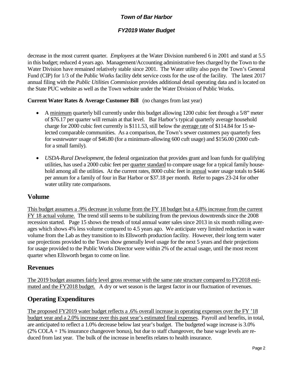# *FY2019 Water Budget*

decrease in the most current quarter. *Employees* at the Water Division numbered 6 in 2001 and stand at 5.5 in this budget; reduced 4 years ago. Management/Accounting administrative fees charged by the Town to the Water Division have remained relatively stable since 2001. The Water utility also pays the Town's General Fund (CIP) for 1/3 of the Public Works facility debt service costs for the use of the facility.The latest 2017 annual filing with the *Public Utilities Commission* provides additional detail operating data and is located on the State PUC website as well as the Town website under the Water Division of Public Works.

# **Current Water Rates & Average Customer Bill** (no changes from last year)

- A minimum quarterly bill currently under this budget allowing 1200 cubic feet through a 5/8" meter of \$76.17 per quarter will remain at that level. Bar Harbor's typical quarterly average household charge for 2000 cubic feet currently is \$111.53, still below the average rate of \$114.84 for 15 selected comparable communities. As a comparison, the Town's sewer customers pay quarterly fees for *wastewater* usage of \$46.80 (for a minimum-allowing 600 cuft usage) and \$156.00 (2000 cuftfor a small family).
- *USDA-Rural Development*, the federal organization that provides grant and loan funds for qualifying utilities, has used a 2000 cubic feet per quarter standard to compare usage for a typical family household among all the utilities. At the current rates, 8000 cubic feet in annual water usage totals to \$446 per annum for a family of four in Bar Harbor or \$37.18 per month. Refer to pages 23-24 for other water utility rate comparisons.

# **Volume**

This budget assumes a .9% decrease in volume from the FY 18 budget but a 4.8% increase from the current FY 18 actual volume. The trend still seems to be stabilizing from the previous downtrends since the 2008 recession started. Page 15 shows the trends of total annual water sales since 2013 in six month rolling averages which shows 4% less volume compared to 4.5 years ago. We anticipate very limited reduction in water volume from the Lab as they transition to its Ellsworth production facility. However, their long term water use projections provided to the Town show generally level usage for the next 5 years and their projections for usage provided to the Public Works Director were within 2% of the actual usage, until the most recent quarter when Ellsworth began to come on line.

# **Revenues**

The 2019 budget assumes fairly level gross revenue with the same rate structure compared to FY2018 estimated and the FY2018 budget. A dry or wet season is the largest factor in our fluctuation of revenues.

# **Operating Expenditures**

The proposed FY2019 water budget reflects a .6% overall increase in operating expenses over the FY '18 budget year and a 2.0% increase over this past year's estimated final expenses. Payroll and benefits, in total, are anticipated to reflect a 1.0% decrease below last year's budget. The budgeted wage increase is 3.0% (2% COLA + 1% insurance changeover bonus), but due to staff changeover, the base wage levels are reduced from last year. The bulk of the increase in benefits relates to health insurance.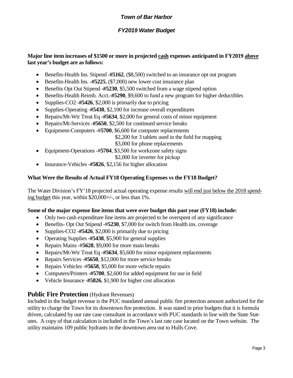# *FY2019 Water Budget*

# **Major line item increases of \$1500 or more in projected cash expenses anticipated in FY2019 above last year's budget are as follows:**

- Benefits-Health Ins. Stipend -#5162,  $(\$8,500)$  switched to an insurance opt out program
- Benefits-Health Ins. **-#5225**, (\$7,000) new lower cost insurance plan
- Benefits Opt Out Stipend **-#5230**, \$5,500 switched from a wage stipend option
- Benefits-Health Reimb. Acct.**-#5290**, \$9,600 to fund a new program for higher deductibles
- Supplies-CO2 -#5426, \$2,000 is primarily due to pricing
- Supplies-Operating -**#5438**, \$2,100 for increase overall expenditures
- Repairs/Mt-Wtr Treat Eq **-#5634**, \$2,000 for general costs of minor equipment
- Repairs/Mt-Services -**#5650**, \$2,500 for continued service breaks
- Equipment-Computers -#**5700**, \$6,600 for computer replacements

\$2,200 for 3 tablets used in the field for mapping

\$3,000 for phone replacements

- Equipment-Operations -#**5704**, \$3,500 for workzone safety signs
	- \$2,000 for inverter for pickup
- Insurance-Vehicles **-#5826**, \$2,156 for higher allocation

# **What Were the Results of Actual FY18 Operating Expenses vs the FY18 Budget?**

The Water Division's FY'18 projected actual operating expense results will end just below the 2018 spending budget this year, within \$20,000+/-, or less than 1%.

## **Some of the major expense line items that were over budget this past year (FY18) include:**

- Only two cash expenditure line items are projected to be overspent of any significance
- Benefits- Opt Out Stipend -#**5230**, \$7,000 for switch from Health ins. coverage
- Supplies-CO2 **-#5426**, \$2,000 is primarily due to pricing
- Operating Supplies **-#5438**, \$5,900 for general supplies
- Repairs Mains -#**5628**, \$9,000 for more main breaks
- Repairs/Mt-Wtr Treat Eq -**#5634**, \$5,600 for minor equipment replacements
- Repairs Services **-#5650**, \$12,000 for more service breaks
- Repairs Vehicles -#**5658**, \$5,000 for more vehicle repairs
- Computers/Printers **-#5700**, \$2,600 for added equipment for use in field
- Vehicle Insurance **-#5826**, \$1,900 for higher cost allocation

# **Public Fire Protection** *(Hydrant Revenues)*

Included in the budget revenue is the PUC mandated annual public fire protection amount authorized for the utility to charge the Town for its downtown fire protection. It was stated in prior budgets that it is formula driven, calculated by our rate case consultant in accordance with PUC standards in line with the State Statutes. A copy of that calculation is included in the Town's last rate case located on the Town website. The utility maintains 109 public hydrants in the downtown area out to Hulls Cove.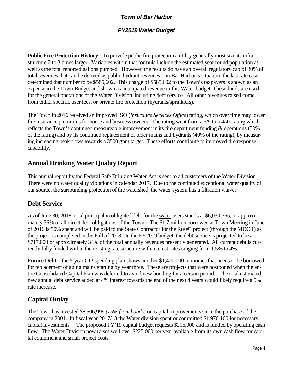# *FY2019 Water Budget*

**Public Fire Protection History** - To provide public fire protection a utility generally must size its infrastructure 2 to 3 times larger. Variables within that formula include the estimated year round population as well as the total reported gallons pumped. However, the results do have an overall regulatory cap of 30% of total revenues that can be derived as public hydrant revenues—in Bar Harbor's situation, the last rate case determined that number to be \$585,602. This charge of \$585,602 to the Town's taxpayers is shown as an expense in the Town Budget and shown as anticipated revenue in this Water budget. These funds are used for the general operations of the Water Division, including debt service. All other revenues raised come from either specific user fees, or private fire protection (hydrants/sprinklers).

The Town in 2016 received an improved ISO (*Insurance Services Office*) rating, which over time may lower fire insurance premiums for home and business owners. The rating went from a 5/9 to a 4/4x rating which reflects the Town's continued measureable improvement in its fire department funding & operations (50% of the rating) and by its continued replacement of older mains and hydrants (40% of the rating), by measuring increasing peak flows towards a 3500 gpm target. These efforts contribute to improved fire response capability.

# **Annual Drinking Water Quality Report**

This annual report by the Federal Safe Drinking Water Act is sent to all customers of the Water Division. There were no water quality violations in calendar 2017. Due to the continued exceptional water quality of our source, the surrounding protection of the watershed, the water system has a filtration waiver.

# **Debt Service**

As of June 30, 2018, total principal in obligated debt for the water users stands at \$6,030,765, or approximately 36% of all direct debt obligations of the Town. The \$1.7 million borrowed at Town Meeting in June of 2016 is 50% spent and will be paid to the State Contractor for the Rte #3 project (through the MDOT) as the project is completed in the Fall of 2018. In the FY2019 budget, the debt service is projected to be at \$717,000 or approximately 34% of the total annually revenues presently generated. All current debt is currently fully funded within the existing rate structure with interest rates ranging from 1.5% to 4%.

**Future Debt—**the 5 year CIP spending plan shows another \$1,400,000 in monies that needs to be borrowed for replacement of aging mains starting by year three. These are projects that were postponed when the entire Consolidated Capital Plan was deferred to avoid new bonding for a certain period. The total estimated new annual debt service added at 4% interest towards the end of the next 4 years would likely require a 5% rate increase.

# **Capital Outlay**

The Town has invested \$8,506,999 *(75% from bonds*) on capital improvements since the purchase of the company in 2001. In fiscal year 2017/18 the Water division spent or committed \$1,976,100 for necessary capital investments. The proposed FY'19 capital budget requests \$206,000 and is funded by operating cash flow. The Water Division now raises well over \$225,000 per year available from its own cash flow for capital equipment and small project costs.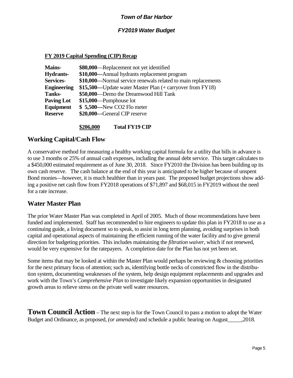# *FY2019 Water Budget*

## **FY 2019 Capital Spending (CIP) Recap**

| <b>Mains-</b>      | \$80,000—Replacement not yet identified                       |
|--------------------|---------------------------------------------------------------|
| Hydrants-          | \$10,000---Annual hydrants replacement program                |
| <b>Services-</b>   | \$10,000—Normal service renewals related to main replacements |
| <b>Engineering</b> | \$15,500—Update water Master Plan (+ carryover from FY18)     |
| <b>Tanks-</b>      | \$50,000—Demo the Dreamwood Hill Tank                         |
| <b>Paving Lot</b>  | $$15,000$ -Pumphouse lot                                      |
| Equipment          | \$5,500—New CO2 Flo meter                                     |
| <b>Reserve</b>     | \$20,000---General CIP reserve                                |
|                    |                                                               |

**\$206,000 Total FY19 CIP**

**Working Capital/Cash Flow**

A conservative method for measuring a healthy working capital formula for a utility that bills in advance is to use 3 months or 25% of annual cash expenses, including the annual debt service. This target calculates to a \$450,000 estimated requirement as of June 30, 2018. Since FY2010 the Division has been building up its own cash reserve. The cash balance at the end of this year is anticipated to be higher because of unspent Bond monies—however, it is much healthier than in years past. The proposed budget projections show adding a positive net cash flow from FY2018 operations of \$71,897 and \$68,015 in FY2019 without the need for a rate increase.

# **Water Master Plan**

The prior Water Master Plan was completed in April of 2005. Much of those recommendations have been funded and implemented. Staff has recommended to hire engineers to update this plan in FY2018 to use as a continuing guide, a living document so to speak, to assist in long term planning, avoiding surprises in both capital and operational aspects of maintaining the efficient running of the water facility and to give general direction for budgeting priorities. This includes maintaining the *filtration waiver*, which if not renewed, would be very expensive for the ratepayers. A completion date for the Plan has not yet been set.

Some items that may be looked at within the Master Plan would perhaps be reviewing  $\&$  choosing priorities for the next primary focus of attention; such as, identifying bottle necks of constricted flow in the distribution system, documenting weaknesses of the system, help design equipment replacements and upgrades and work with the Town's *Comprehensive Plan* to investigate likely expansion opportunities in designated growth areas to relieve stress on the private well water resources.

**Town Council Action** – The next step is for the Town Council to pass a motion to adopt the Water Budget and Ordinance, as proposed, *(or amended)* and schedule a public hearing on August\_\_\_\_\_,2018.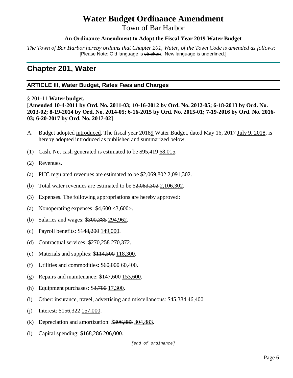# **Water Budget Ordinance Amendment**

Town of Bar Harbor

# **An Ordinance Amendment to Adopt the Fiscal Year 2019 Water Budget**

*The Town of Bar Harbor hereby ordains that Chapter 201, Water, of the Town Code is amended as follows:* [Please Note: Old language is stricken. New language is underlined.]

# **Chapter 201, Water**

# **ARTICLE III, Water Budget, Rates Fees and Charges**

§ 201-11 **Water budget.** 

**[Amended 10-4-2011 by Ord. No. 2011-03; 10-16-2012 by Ord. No. 2012-05; 6-18-2013 by Ord. No. 2013-02; 8-19-2014 by Ord. No. 2014-05; 6-16-2015 by Ord. No. 2015-01; 7-19-2016 by Ord. No. 2016- 03; 6-20-2017 by Ord. No. 2017-02]**

- A. Budget adopted introduced. The fiscal year 20189 Water Budget, dated May 16, 2017 July 9, 2018, is hereby adopted introduced as published and summarized below.
- (1) Cash. Net cash generated is estimated to be \$95,419 68,015.
- (2) Revenues.
- (a) PUC regulated revenues are estimated to be \$2,069,802 2,091,302.
- (b) Total water revenues are estimated to be \$2,083,302 2,106,302.
- (3) Expenses. The following appropriations are hereby approved:
- (a) Nonoperating expenses:  $$4,600 < 3,600$ .
- (b) Salaries and wages: \$300,385 294,962.
- (c) Payroll benefits: \$148,200 149,000.
- (d) Contractual services: \$270,258 270,372.
- (e) Materials and supplies: \$114,500 118,300.
- (f) Utilities and commodities:  $$60,000$   $60,400$ .
- (g) Repairs and maintenance: \$147,600 153,600.
- (h) Equipment purchases: \$3,700 17,300.
- (i) Other: insurance, travel, advertising and miscellaneous: \$45,384 46,400.
- (i) Interest:  $$156,322$  157,000.
- (k) Depreciation and amortization: \$306,883 304,883.
- (l) Capital spending: \$168,286 206,000.

 *[end of ordinance]*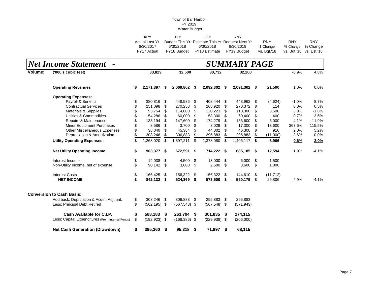| APY             | <b>RTY</b>  | FTY.          | <b>RNY</b>                                      |             |                         |            |
|-----------------|-------------|---------------|-------------------------------------------------|-------------|-------------------------|------------|
| Actual Last Yr. |             |               | Budget This Yr Estimate This Yr Request Next Yr | <b>RNY</b>  | <b>RNY</b>              | <b>RNY</b> |
| 6/30/2017       | 6/30/2018   | 6/30/2018     | 6/30/2019                                       | \$ Change   | % Change % Change       |            |
| FY17 Actual     | FY18 Budget | FY18 Estimate | FY19 Budaet                                     | vs. Bat.'18 | vs. Bgt.'18 vs. Est.'18 |            |

|         | <b>Net Income Statement -</b>                    | <b>SUMMARY PAGE</b> |                 |     |                 |      |                 |     |              |    |           |         |          |  |  |
|---------|--------------------------------------------------|---------------------|-----------------|-----|-----------------|------|-----------------|-----|--------------|----|-----------|---------|----------|--|--|
| Volume: | ('000's cubic feet)                              |                     | 33,829          |     | 32,500          |      | 30,732          |     | 32,200       |    |           | $-0.9%$ | 4.8%     |  |  |
|         | <b>Operating Revenues</b>                        | \$                  | 2,171,397       | \$  | 2,069,802 \$    |      | 2,092,302 \$    |     | 2,091,302 \$ |    | 21,500    | 1.0%    | 0.0%     |  |  |
|         | <b>Operating Expenses:</b>                       |                     |                 |     |                 |      |                 |     |              |    |           |         |          |  |  |
|         | Payroll & Benefits                               | \$                  | 380,816         | \$  | 448,586         | \$   | 408,444         | \$  | 443,962 \$   |    | (4,624)   | $-1.0%$ | 8.7%     |  |  |
|         | <b>Contractual Services</b>                      |                     | 251,098         | \$  | 270,258         | S    | 268,920         | \$  | 270,372 \$   |    | 114       | 0.0%    | 0.5%     |  |  |
|         | <b>Materials &amp; Supplies</b>                  |                     | 93,754          | \$  | 114,800         | S    | 120,223         | \$  | 118,300      | \$ | 3,500     | 3.0%    | $-1.6%$  |  |  |
|         | Utilities & Commodities                          |                     | 54,286          | \$  | 60,000          | \$   | 58.300          | \$  | 60,400       | \$ | 400       | 0.7%    | 3.6%     |  |  |
|         | Repairs & Maintenance                            |                     | 133,194         | \$  | 147,600         | \$   | 174,279         | \$  | 153,600      | \$ | 6,000     | 4.1%    | $-11.9%$ |  |  |
|         | <b>Minor Equipment Purchases</b>                 |                     | 8,586           | \$  | 3,700           | \$   | 8,029           | \$  | 17,300       | \$ | 13,600    | 367.6%  | 115.5%   |  |  |
|         | <b>Other Miscellaneous Expenses</b>              |                     | 38,040          | \$  | 45,384          | S    | 44,002          | \$  | 46,300       | \$ | 916       | 2.0%    | 5.2%     |  |  |
|         | Depreciation & Amortization                      |                     | 308,246         | \$  | 306,883         |      | 295,883         | \$  | 295,883      | \$ | (11,000)  | $-3.6%$ | 0.0%     |  |  |
|         | <b>Utility Operating Expenses:</b>               |                     | ,268,020        | \$  | 1,397,211       | \$   | 1,378,080       | \$  | 1,406,117    | \$ | 8,906     | 0.6%    | 2.0%     |  |  |
|         | <b>Net Utility Operating Income</b>              | \$                  | 903,377 \$      |     | 672,591 \$      |      | 714,222 \$      |     | 685,185 \$   |    | 12,594    | 1.9%    | $-4.1%$  |  |  |
|         | Interest Income                                  | \$                  | 14,038          | \$  | 4,500           | - \$ | 13,000          | \$  | $6,000$ \$   |    | 1,500     |         |          |  |  |
|         | Non-Utility Income, net of expense               | \$                  | 90,142          | \$  | $3,600$ \$      |      | 2,600           | \$  | $3,600$ \$   |    | 1,000     |         |          |  |  |
|         | <b>Interest Costs</b>                            | \$                  | 165,425         | \$  | 156,322 \$      |      | 156,322         | \$  | 144,610 \$   |    | (11, 712) |         |          |  |  |
|         | <b>NET INCOME</b>                                | \$                  | 842,132         | \$  | 524,369         | \$   | 573,500         | -\$ | 550,175 \$   |    | 25,806    | 4.9%    | $-4.1%$  |  |  |
|         | <b>Conversion to Cash Basis:</b>                 |                     |                 |     |                 |      |                 |     |              |    |           |         |          |  |  |
|         | Add back: Deprciation & Acqtn. Adjtmnt.          | \$                  | 308,246 \$      |     | 306,883 \$      |      | 295,883 \$      |     | 295,883      |    |           |         |          |  |  |
|         | Less: Principal Debt Retired                     | \$                  | $(562, 195)$ \$ |     | $(567,548)$ \$  |      | $(567, 548)$ \$ |     | (571, 943)   |    |           |         |          |  |  |
|         | Cash Available for C.I.P.                        | \$                  | 588,183         | \$  | 263,704 \$      |      | 301,835 \$      |     | 274,115      |    |           |         |          |  |  |
|         | Less: Capital Expenditures (From Internal Funds) | \$                  | $(192, 923)$ \$ |     | $(168, 386)$ \$ |      | $(229, 938)$ \$ |     | (206,000)    |    |           |         |          |  |  |
|         | <b>Net Cash Generation (Drawdown)</b>            | \$                  | 395,260         | -\$ | 95,318          | \$   | 71,897 \$       |     | 68,115       |    |           |         |          |  |  |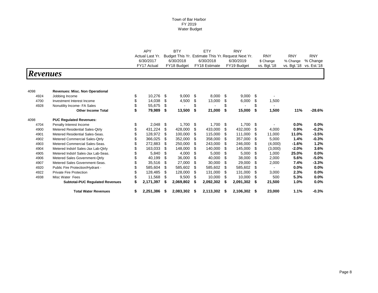|                 |                                        |                              | <b>APY</b>  |    | <b>BTY</b>  |     | ETY                                                             |                         | <b>RNY</b>             |                        |             |             |
|-----------------|----------------------------------------|------------------------------|-------------|----|-------------|-----|-----------------------------------------------------------------|-------------------------|------------------------|------------------------|-------------|-------------|
|                 |                                        | Actual Last Yr.<br>6/30/2017 | 6/30/2018   |    | 6/30/2018   |     | Budget This Yr. Estimate This Yr. Request Next Yr.<br>6/30/2019 | <b>RNY</b><br>\$ Change | <b>RNY</b><br>% Change | <b>RNY</b><br>% Change |             |             |
|                 |                                        |                              | FY17 Actual |    | FY18 Budget |     | FY18 Estimate                                                   |                         | FY19 Budget            | vs. Bgt.'18            | vs. Bgt.'18 | vs. Est.'18 |
| <b>Revenues</b> |                                        |                              |             |    |             |     |                                                                 |                         |                        |                        |             |             |
| 4098            | <b>Revenues: Misc. Non Operational</b> |                              |             |    |             |     |                                                                 |                         |                        |                        |             |             |
| 4924            | Jobbing Income                         | \$                           | 10,276      | \$ | 9,000       | \$  | 8,000 \$                                                        |                         | 9,000                  | \$                     |             |             |
| 4700            | Investment Interest Income             |                              | 14,038      | \$ | 4,500       | S   | 13,000                                                          | S                       | 6,000                  | \$<br>1,500            |             |             |
| 4928            | Nonutility Income- FA Sales            |                              | 55,675      | \$ |             |     |                                                                 |                         |                        | \$                     |             |             |
|                 | <b>Other Income Total</b>              |                              | 79,989      | \$ | 13,500      | \$  | 21,000                                                          | \$                      | 15,000                 | \$<br>1,500            | 11%         | $-28.6%$    |
| 4098            | <b>PUC Regulated Revenues:</b>         |                              |             |    |             |     |                                                                 |                         |                        |                        |             |             |
| 4704            | Penalty Interest Income                | \$                           | 2,048       | \$ | 1,700       | \$  | 1,700                                                           | \$                      | 1,700                  | \$                     | $0.0\%$     | 0.0%        |
| 4900            | Metered Residential Sales-Qtrly        |                              | 431,224     | \$ | 428,000     | \$  | 433,000                                                         | \$                      | 432,000                | \$<br>4,000            | 0.9%        | $-0.2%$     |
| 4901            | Metered Residential Sales-Seas.        |                              | 128,972     | \$ | 100,000     | -S  | 115,000                                                         | \$                      | 111,000                | \$<br>11,000           | 11.0%       | $-3.5%$     |
| 4902            | Metered Commercial Sales-Qtrly         |                              | 366,025     | \$ | 352,000     | S   | 358,000                                                         | S                       | 357,000                | \$<br>5.000            | 1.4%        | $-0.3%$     |
| 4903            | Metered Commercial Sales-Seas.         |                              | 272,883     | \$ | 250,000     | \$. | 243,000                                                         | \$                      | 246,000                | \$<br>(4,000)          | $-1.6%$     | 1.2%        |
| 4904            | Metered Indstrl Sales-Jax Lab-Qtrly    |                              | 163,033     |    | 148,000     |     | 140,000                                                         |                         | 145,000                | \$<br>(3,000)          | $-2.0%$     | 3.6%        |
| 4905            | Metered Indstrl Sales-Jax Lab-Seas.    |                              | 5,840       | \$ | 4,000       | S   | 5,000                                                           | \$                      | 5,000                  | \$<br>1,000            | 25.0%       | 0.0%        |
| 4906            | Metered Sales Government-Qtrly         |                              | 40,199      |    | 36,000      | \$  | 40,000                                                          | \$                      | 38,000                 | \$<br>2,000            | 5.6%        | $-5.0\%$    |
| 4907            | Metered Sales Government-Seas.         |                              | 35,516      | \$ | 27,000      | \$  | 30,000                                                          | \$                      | 29,000                 | \$<br>2,000            | 7.4%        | $-3.3%$     |
| 4920            | Public Fire Protection/Hydrant -       |                              | 585,604     | S  | 585,602     | S   | 585,602                                                         | \$                      | 585,602                | \$                     | $0.0\%$     | 0.0%        |
| 4922            | <b>Private Fire Protection</b>         |                              | 128,485     | \$ | 128,000     | \$  | 131,000                                                         | \$                      | 131,000                | \$<br>3,000            | 2.3%        | 0.0%        |
| 4938            | Misc Water Fees                        |                              | 11,568      | S  | 9,500       | -S  | 10,000                                                          | S                       | 10,000                 | \$<br>500              | 5.3%        | 0.0%        |
|                 | <b>Subtotal-PUC Regulated Revenues</b> |                              | 2,171,397   |    | 2,069,802   | \$  | 2,092,302                                                       | \$                      | 2,091,302              | \$<br>21,500           | 1.0%        | 0.0%        |
|                 | <b>Total Water Revenues</b>            | \$                           | 2,251,386   |    | 2,083,302   | S   | 2,113,302                                                       | S                       | 2,106,302              | \$<br>23,000           | 1.1%        | $-0.3%$     |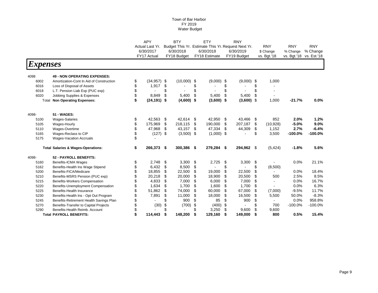|                        |                                               | <b>APY</b>          |     | <b>BTY</b>   |     | ETY                                                | <b>RNY</b>    |     |                |            |                         |
|------------------------|-----------------------------------------------|---------------------|-----|--------------|-----|----------------------------------------------------|---------------|-----|----------------|------------|-------------------------|
|                        |                                               | Actual Last Yr.     |     |              |     | Budget This Yr. Estimate This Yr. Request Next Yr. |               |     | <b>RNY</b>     | <b>RNY</b> | <b>RNY</b>              |
|                        |                                               | 6/30/2017           |     | 6/30/2018    |     | 6/30/2018                                          | 6/30/2019     |     | \$ Change      | % Change   | % Change                |
|                        |                                               | FY17 Actual         |     | FY18 Budget  |     | FY18 Estimate                                      | FY19 Budget   |     | vs. Bgt.'18    |            | vs. Bgt.'18 vs. Est.'18 |
| <i><b>Expenses</b></i> |                                               |                     |     |              |     |                                                    |               |     |                |            |                         |
| 4098                   | <b>49 - NON OPERATING EXPENSES:</b>           |                     |     |              |     |                                                    |               |     |                |            |                         |
| 6002                   | Amortization-Cont In Aid of Construction      | \$<br>$(34,957)$ \$ |     | (10,000)     | -\$ | $(9,000)$ \$                                       | $(9,000)$ \$  |     | 1,000          |            |                         |
| 6016                   | Loss of Disposal of Assets                    | \$<br>1,917         | \$  |              | S   |                                                    | \$            | \$  |                |            |                         |
| 6018                   | L.T. Pension Liab Exp (PUC exp)               | \$                  | \$  |              | \$  |                                                    | \$            | \$  |                |            |                         |
| 6020                   | Jobbing Supplies & Expenses                   | \$<br>8,849         | \$  | 5,400        | \$  | 5,400                                              | \$<br>5,400   | \$  | $\sim$         |            |                         |
| Total                  | <b>Non Operating Expenses:</b>                | $(24, 191)$ \$      |     | $(4,600)$ \$ |     | $(3,600)$ \$                                       | $(3,600)$ \$  |     | 1,000          | $-21.7%$   | 0.0%                    |
| 4098-                  | 51 - WAGES:                                   |                     |     |              |     |                                                    |               |     |                |            |                         |
| 5100                   | <b>Wages-Salaries</b>                         | \$<br>42,563        | \$  | 42,614       | \$  | 42,950                                             | \$<br>43,466  | -\$ | 852            | 2.0%       | 1.2%                    |
| 5105                   | Wages-Hourly                                  | \$<br>175,969       | \$  | 218,115      | \$  | 190,000                                            | \$<br>207,187 | \$  | (10, 928)      | $-5.0%$    | 9.0%                    |
| 5110                   | Wages-Overtime                                | \$<br>47,968        | \$  | 43,157       | \$  | 47,334                                             | \$<br>44,309  | \$  | 1,152          | 2.7%       | $-6.4%$                 |
| 5165                   | Wages-Reclass to CIP                          | \$<br>(127)         | -\$ | $(3,500)$ \$ |     | $(1,000)$ \$                                       |               | \$  | 3,500          | $-100.0%$  | $-100.0%$               |
| 5175                   | <b>Wages-Vacation Accruals</b>                | \$                  |     |              |     |                                                    |               |     |                |            |                         |
|                        | <b>Total Salaries &amp; Wages-Operations:</b> | \$<br>266,373 \$    |     | 300,386      | \$  | 279,284 \$                                         | 294,962 \$    |     | (5, 424)       | $-1.8%$    | 5.6%                    |
| 4098-                  | 52 - PAYROLL BENEFITS:                        |                     |     |              |     |                                                    |               |     |                |            |                         |
| 5160                   | Benefits-ICMA Wages                           | \$<br>2,748         | \$  | 3,300        | \$  | 2,725                                              | \$<br>3,300   | \$  |                | 0.0%       | 21.1%                   |
| 5162                   | Benefits-Health Ins Wage Stipend              | \$<br>6,432         | \$  | 8,500        | \$  |                                                    | \$            | \$  | (8,500)        |            |                         |
| 5200                   | Benefits-FICA/Medicare                        | \$<br>18,855        | \$  | 22,500       | \$  | 19,000                                             | \$<br>22,500  | \$  |                | 0.0%       | 18.4%                   |
| 5210                   | Benefits-MSRS Pension (PUC exp)               | 20,218              | \$  | 20,000       | \$  | 18,900                                             | \$<br>20,500  | \$  | 500            | 2.5%       | 8.5%                    |
| 5215                   | Benefits-Workers Compensation                 | 4,833               | \$  | 7,000        | \$  | 6,000                                              | \$<br>7,000   | \$  |                | 0.0%       | 16.7%                   |
| 5220                   | Benefits-Unemployment Compensation            | 1,634               | \$  | 1,700        | \$  | 1,600                                              | \$<br>1,700   | \$  |                | 0.0%       | 6.3%                    |
| 5225                   | Benefits-Health Insurance                     | \$<br>51,862        | \$  | 74,000       | \$  | 60,000                                             | \$<br>67,000  | \$  | (7,000)        | $-9.5%$    | 11.7%                   |
| 5230                   | Benefits-Health Ins - Opt Out Program         | 7,891               | \$  | 11,000       | \$  | 18,000                                             | \$<br>16,500  | \$  | 5,500          | 50.0%      | $-8.3%$                 |
| 5245                   | Benefits-Retirement Health Savings Plan       |                     | \$  | 900          | \$  | 85                                                 | \$<br>900     | \$  | $\blacksquare$ | 0.0%       | 958.8%                  |
| 5270                   | Benefits-Transfer to Capital Projects         | (30)                | \$  | (700)        | \$  | (400)                                              | \$            | \$  | 700            | $-100.0%$  | $-100.0%$               |
| 5290                   | Benefits-Health Reimb, Account                |                     | \$  |              | £.  | 3,250                                              | \$<br>9,600   | \$  | 9,600          |            |                         |
|                        | <b>Total PAYROLL BENEFITS:</b>                | 114,443             | \$  | 148,200      | \$  | 129,160                                            | \$<br>149,000 | \$  | 800            | 0.5%       | 15.4%                   |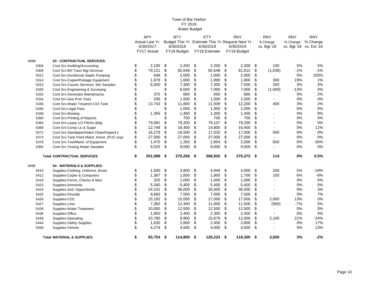|       |                                             | <b>APY</b>           |     | <b>BTY</b>  |      | ETY                                                | <b>RNY</b>   |      | <b>RNY</b>     | <b>RNY</b> | <b>RNY</b>              |
|-------|---------------------------------------------|----------------------|-----|-------------|------|----------------------------------------------------|--------------|------|----------------|------------|-------------------------|
|       |                                             | Actual Last Yr.      |     |             |      | Budget This Yr. Estimate This Yr. Request Next Yr. |              |      | \$ Change      | % Change   | % Change                |
|       |                                             | 6/30/2017            |     | 6/30/2018   |      | 6/30/2018                                          | 6/30/2019    |      | vs. Bgt.'18    |            | vs. Bgt.'18 vs. Est.'18 |
|       |                                             | FY17 Actual          |     | FY18 Budget |      | FY18 Estimate                                      | FY19 Budget  |      |                |            |                         |
| 4098- | 53 - CONTRACTUAL SERVICES:                  |                      |     |             |      |                                                    |              |      |                |            |                         |
| 5304  | Cont Srv-Auditing/Accounting                | \$<br>2,100          | \$  | 2,200       | \$   | 2,200                                              | \$<br>2,300  | \$   | 100            | 5%         | 5%                      |
| 5306  | Cont Srv-BH Town Mgt Services               | \$<br>79,121         | \$  | 82,648      | \$   | 82,648                                             | \$<br>81,612 | \$   | (1,036)        | $-1%$      | $-1%$                   |
| 5312  | Cont Srv-Duckbrook Septic Pumping           | \$<br>648            | \$  | 2,000       | \$   | 1,000                                              | \$<br>2,000  | \$   |                | 0%         | 100%                    |
| 5314  | Cont Srv-Copier/Postage Equipment           | \$<br>1,878          | \$  | 1,600       | \$   | 1,890                                              | \$<br>1,900  | \$   | 300            | 19%        | 1%                      |
| 5315  | Cont Srv-Courier Services- Wtr Samples      | \$<br>6,930          | \$  | 7,300       | \$   | 7,300                                              | \$<br>7,500  | \$   | 200            | 3%         | 3%                      |
| 5326  | Cont Srv-Engineering & Surveying            | \$<br>$\blacksquare$ | \$  | 8,000       | \$   | 7,000                                              | \$<br>7,000  | \$   | (1,000)        | $-13%$     | 0%                      |
| 5332  | <b>Cont Srv-Generator Maintenance</b>       | \$<br>375            | \$  | 660         | \$   | 650                                                | \$<br>660    | \$   |                | 0%         | 2%                      |
| 5334  | Cont Srv-Gen Prof. Fees                     | \$<br>336            | \$  | 1,500       | \$   | 1,500                                              | \$<br>1,500  | \$   | $\sim$         | 0%         | 0%                      |
| 5336  | Cont Srv-Water Treatmnt C02 Tank            | \$<br>13,743         | \$  | 11,800      | \$   | 11,939                                             | \$<br>12,200 | \$   | 400            | 3%         | 2%                      |
| 5340  | Cont Srv-Legal Fees                         | \$                   | \$  | 1,000       | \$   | 1,000                                              | \$<br>1,000  | \$   |                | 0%         | 0%                      |
| 5348  | Cont Srv-Mowing                             | \$<br>1,365          | \$  | 1,400       | \$   | 1,300                                              | \$<br>1,400  | \$   |                | 0%         | $8\%$                   |
| 5360  | Cont Srv-Printing of Reports                | $\blacksquare$       | \$  | 700         | \$   | 700                                                | \$<br>700    | \$   | $\blacksquare$ | 0%         | 0%                      |
| 5364  | Cont Srv-Lease 1/3 PWrks Bldg               | \$<br>79,081         | \$  | 79,200      | \$   | 79,107                                             | \$<br>79,200 | \$   |                | 0%         | 0%                      |
| 5368  | Cont Srv-Comp Lic & Suppt                   | 12,748               | \$  | 16,400      | \$   | 14,800                                             | \$<br>16,400 | \$   |                | 0%         | 11%                     |
| 5372  | Cont Srv-Standpipe/Intake Clean/Inspect's   | \$<br>16,278         | \$  | 16,500      | \$   | 17,032                                             | \$<br>17,000 | \$   | 500            | 0%         | 0%                      |
| 5374  | Cont Srv-Tank Paint Maint. Amort. (PUC exp) | \$<br>27,000         | \$  | 27,000      | \$   | 27,000                                             | \$<br>27,000 | \$   |                | 0%         | 0%                      |
| 5378  | Cont Srv-Test/Maint. of Equipment           | \$<br>1,470          | \$  | 1,350       | \$   | 2,854                                              | \$<br>2,000  | \$   | 650            | 0%         | $-30%$                  |
| 5384  | Cont Srv-Testing Water Samples              | \$<br>8,025          | \$  | 9,000       | \$   | 9,000                                              | \$<br>9,000  | \$   |                | 0%         | 0%                      |
|       |                                             |                      |     |             |      |                                                    |              |      |                |            |                         |
|       | <b>Total CONTRACTUAL SERVICES</b>           | \$<br>251,098        | -\$ | 270,258     | \$   | 268,920 \$                                         | 270,372      | - \$ | 114            | 0%         | 0.5%                    |
| 4098  | 54 - MATERIALS & SUPPLIES:                  |                      |     |             |      |                                                    |              |      |                |            |                         |
| 5410  | Supplies-Clothing, Uniforms, Boots          | \$<br>1,830          | \$  | 3,800       | \$   | 4,944                                              | \$<br>4,000  | \$   | 200            | 5%         | $-19%$                  |
| 5412  | Supplies-Copier & Computers                 | \$<br>1,387          | \$  | 1,600       | \$   | 1,800                                              | \$<br>1,700  | \$   | 100            | 6%         | $-6%$                   |
| 5418  | Supplies-Forms, Checks & Misc               | \$<br>320            | \$  | 1,000       | \$   | 1,000                                              | \$<br>1,000  | \$   |                | 0%         | 0%                      |
| 5423  | Supplies-Ammonia                            | \$<br>5,340          | \$  | 5,400       | \$   | 5,400                                              | \$<br>5,400  | \$   |                | 0%         | 0%                      |
| 5424  | Supplies-Sod. Hypochlorite                  | \$<br>24,101         | \$  | 36,000      | \$   | 35,000                                             | \$<br>36,000 | \$   | $\blacksquare$ | 0%         | 3%                      |
| 5425  | Supplies-Flouride                           | \$<br>9,683          | \$  | 7,500       | \$   | 7,000                                              | \$<br>7,500  | \$   |                | 0%         | 7%                      |
| 5426  | Supplies-CO <sub>2</sub>                    | \$<br>15,192         | \$  | 15,000      | \$   | 17,000                                             | \$<br>17,000 | \$   | 2,000          | 13%        | 0%                      |
| 5427  | Supplies-Lime                               | \$<br>7,362          | \$  | 12,400      | \$   | 11,000                                             | \$<br>11,500 | \$   | (900)          | $-7%$      | 5%                      |
| 5428  | Supplies-Water Treatment                    | \$<br>10,000         | \$  | 12,500      | \$   | 12,500                                             | \$<br>12,500 | \$   | $\blacksquare$ | 0%         | 0%                      |
| 5436  | Supplies-Office                             | \$<br>1,850          | \$  | 2,400       | \$   | 2,300                                              | \$<br>2,400  | \$   |                | 0%         | 4%                      |
| 5438  | Supplies-Operating                          | \$<br>10,780         | \$  | 9,900       | \$   | 15,879                                             | \$<br>12,000 | \$   | 2,100          | 21%        | $-24%$                  |
| 5444  | Supplies-Safety Supplies                    | \$<br>1,635          | \$  | 2,800       | \$   | 2,400                                              | \$<br>2,800  | \$   |                | 0%         | 17%                     |
| 5458  | Supplies-Vehicle                            | \$<br>4,274          | \$  | 4,500       | \$   | 4,000                                              | \$<br>4,500  | \$   |                | 0%         | 13%                     |
|       | <b>Total MATERIAL &amp; SUPPLIES:</b>       | \$<br>93,754 \$      |     | 114,800     | - \$ | $120,223$ \$                                       | 118,300      | - \$ | 3,500          | 3%         | $-2%$                   |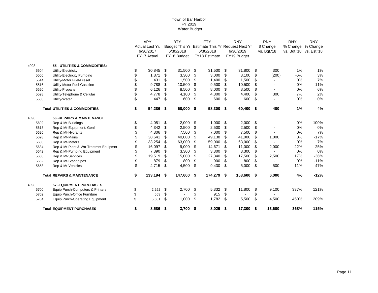|      |                                          | <b>APY</b>       |      | <b>BTY</b>  |    | <b>ETY</b>                                      | <b>RNY</b>   |      | <b>RNY</b>  | <b>RNY</b>              | <b>RNY</b> |
|------|------------------------------------------|------------------|------|-------------|----|-------------------------------------------------|--------------|------|-------------|-------------------------|------------|
|      |                                          | Actual Last Yr.  |      |             |    | Budget This Yr Estimate This Yr Request Next Yr |              |      | \$ Change   | % Change % Change       |            |
|      |                                          | 6/30/2017        |      | 6/30/2018   |    | 6/30/2018                                       | 6/30/2019    |      | vs. Bgt.'18 | vs. Bgt.'18 vs. Est.'18 |            |
|      |                                          | FY17 Actual      |      | FY18 Budget |    | FY18 Estimate                                   | FY19 Budget  |      |             |                         |            |
| 4098 | 55 - UTILITIES & COMMODITIES:            |                  |      |             |    |                                                 |              |      |             |                         |            |
| 5504 | Utility-Electricity                      | \$<br>30,845     | \$   | 31,500      | \$ | 31,500                                          | \$<br>31,800 | -\$  | 300         | 1%                      | 1%         |
| 5506 | Utility-Electricity Pumping              | \$<br>1,871      | \$   | 3,300       | S  | 3,000                                           | \$<br>3,100  | \$   | (200)       | $-6%$                   | 3%         |
| 5514 | Utility-Motor Fuel-Diesel                | 431              | \$   | 1,500       | \$ | 1,400                                           | \$<br>1,500  | \$   |             | 0%                      | 7%         |
| 5516 | Utility-Motor Fuel-Gasoline              | \$<br>9,788      | \$   | 10,500      | S  | 9,500                                           | \$<br>10,500 | \$   |             | 0%                      | 11%        |
| 5520 | Utility-Propane                          | 6,126            | \$   | 8,500       | \$ | 8,000                                           | \$<br>8,500  | \$   |             | 0%                      | 6%         |
| 5528 | Utility-Telephone & Cellular             | 4,778            | \$   | 4,100       | \$ | 4,300                                           | \$<br>4,400  | \$   | 300         | 7%                      | 2%         |
| 5530 | Utility-Water                            | \$<br>447        | \$   | 600         | \$ | 600                                             | \$<br>600    | \$   |             | 0%                      | 0%         |
|      | <b>Total UTILITIES &amp; COMMODITIES</b> | \$<br>54,286 \$  |      | 60,000      | \$ | 58,300                                          | \$<br>60,400 | - \$ | 400         | 1%                      | 4%         |
| 4098 | <b>56 - REPAIRS &amp; MAINTENANCE</b>    |                  |      |             |    |                                                 |              |      |             |                         |            |
| 5602 | Rep & Mt-Buildings                       | \$<br>4,051      | \$   | 2,000       | \$ | 1,000                                           | \$<br>2,000  | \$   |             | 0%                      | 100%       |
| 5618 | Rep & Mt-Equipment, Gen'l                | \$<br>4,342      | \$   | 2,500       | \$ | 2,500                                           | \$<br>2,500  | \$   |             | 0%                      | 0%         |
| 5626 | Rep & Mt-Hydrants                        | \$<br>4,306      | \$   | 7,500       | \$ | 7,000                                           | \$<br>7,500  | \$   |             | 0%                      | 7%         |
| 5628 | Rep & Mt-Mains                           | \$<br>38,641     | \$   | 40,000      | \$ | 49,138                                          | \$<br>41,000 | \$   | 1,000       | 3%                      | $-17%$     |
| 5630 | Rep & Mt-Meters                          | \$<br>33,254     | \$   | 63,000      | \$ | 59,000                                          | \$<br>63,000 | \$   |             | 0%                      | 7%         |
| 5634 | Rep & Mt-Plant & Wtr Treatmnt Equipmnt   | \$<br>16,097     | \$   | 9,000       | S  | 14,671                                          | \$<br>11,000 | \$   | 2,000       | 22%                     | $-25%$     |
| 5642 | Rep & Mt-Pumping Equipment               | \$<br>7,390      | \$   | 3,300       | S  | 3,300                                           | \$<br>3,300  | \$   |             | 0%                      | 0%         |
| 5650 | Rep & Mt-Services                        | \$<br>19,519     | \$   | 15,000      | \$ | 27,340                                          | \$<br>17,500 | \$   | 2,500       | 17%                     | $-36%$     |
| 5652 | Rep & Mt-Standpipes                      | \$<br>879        | \$   | 800         | \$ | 900                                             | \$<br>800    | \$   |             | 0%                      | $-11%$     |
| 5658 | Rep & Mt-Vehicles                        | \$<br>4,715      | \$   | 4,500       | \$ | 9,430                                           | \$<br>5.000  | \$   | 500         | 11%                     | $-47%$     |
|      | <b>Total REPAIRS &amp; MAINTENANCE</b>   | \$<br>133,194 \$ |      | 147,600     | \$ | 174,279 \$                                      | 153,600 \$   |      | 6,000       | 4%                      | $-12%$     |
| 4098 | <b>57 - EQUIPMENT PURCHASES</b>          |                  |      |             |    |                                                 |              |      |             |                         |            |
| 5700 | Equip Purch-Computers & Printers         | \$<br>2,252      | \$   | 2,700       | \$ | 5,332                                           | \$<br>11,800 | \$   | 9,100       | 337%                    | 121%       |
| 5702 | Equip Purch-Office Furniture             | \$<br>653        | \$   |             | \$ | 915                                             | \$           | \$   |             |                         |            |
| 5704 | <b>Equip Purch-Operating Equipment</b>   | \$<br>5,681      | \$   | 1,000       | \$ | 1,782                                           | \$<br>5,500  | \$   | 4,500       | 450%                    | 209%       |
|      | <b>Total EQUIPMENT PURCHASES</b>         | \$<br>8,586      | - \$ | 3,700       | \$ | $8,029$ \$                                      | 17,300       | - \$ | 13,600      | 368%                    | 115%       |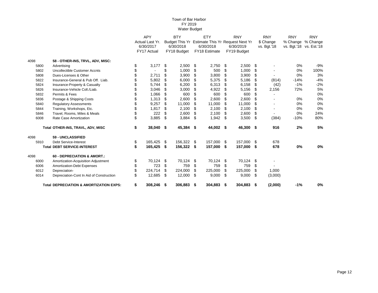|      | <b>Total DEPRECIATION &amp; AMORTIZATION EXPS:</b> | \$<br>308,246 \$ |    | 306.883     | - \$ | 304,883 \$                                      | 304,883       | - \$ | (2,000)        | $-1%$      | 0%                      |
|------|----------------------------------------------------|------------------|----|-------------|------|-------------------------------------------------|---------------|------|----------------|------------|-------------------------|
| 6014 | Depreciation-Cont In Aid of Construction           | \$<br>12,685     | \$ | 12,000      | -S   | 9,000                                           | \$<br>9,000   | - \$ | (3,000)        |            |                         |
| 6012 | Depreciation-                                      | \$<br>224,714    | \$ | 224,000     | S    | 225,000                                         | \$<br>225,000 | \$   | 1,000          |            |                         |
| 6006 | Amortization-Debt Expenses                         | \$<br>723        | \$ | 759         | \$   | 759                                             | \$<br>759     | \$   |                |            |                         |
| 6000 | Amortization-Acquisition Adjustment                | \$<br>70,124     | \$ | 70,124      | \$   | 70,124                                          | \$<br>70,124  | \$   |                |            |                         |
| 4098 | 60 - DEPRECIATION & AMORT.:                        |                  |    |             |      |                                                 |               |      |                |            |                         |
|      | <b>Total DEBT SERVICE-INTEREST</b>                 | \$<br>165,425    | \$ | 156,322     | \$   | 157,000                                         | \$<br>157,000 | - \$ | 678            | 0%         | 0%                      |
| 5910 | <b>Debt Service-Interest</b>                       | \$<br>165,425    | \$ | 156,322     | - \$ | 157,000                                         | \$<br>157,000 | - \$ | 678            |            |                         |
| 4098 | 59 - UNCLASSIFIED                                  |                  |    |             |      |                                                 |               |      |                |            |                         |
|      | Total OTHER-INS, TRAVL, ADV, MISC                  | \$<br>38,040     | S. | 45,384      | \$   | 44,002 \$                                       | 46,300 \$     |      | 916            | 2%         | 5%                      |
| 6008 | Rate Case Amortization                             | \$<br>3,885      | \$ | 3,884       | \$   | 1,942                                           | \$<br>3,500   | - \$ | (384)          | $-10%$     | 80%                     |
| 5846 | Travel, Rooms, Miles & Meals                       | 222              | \$ | 2,600       | S    | 2,100                                           | \$<br>2,600   | \$   | $\blacksquare$ | 0%         | 24%                     |
| 5844 | Training, Workshops, Etc.                          | 1,817            | \$ | 2,100       | S    | 2,100                                           | \$<br>2,100   | \$   |                | 0%         | 0%                      |
| 5840 | <b>Regulatory Assessments</b>                      | \$<br>9,257      | \$ | 11,000      | \$   | 11,000                                          | \$<br>11,000  | \$   |                | 0%         | 0%                      |
| 5836 | Postage & Shipping Costs                           | 1,313            | \$ | 2,600       |      | 2,600                                           | \$<br>2,600   | S    |                | 0%         | 0%                      |
| 5832 | Permits & Fees                                     | 1,066            | \$ | 600         |      | 600                                             | \$<br>600     | \$   |                |            | 0%                      |
| 5826 | Insurance-Vehicle Coll./Liab.                      | 3,046            | \$ | 3,000       | S    | 4,922                                           | \$<br>5,156   | \$   | 2,156          | 72%        | 5%                      |
| 5824 | Insurance-Property & Casualty                      | 5,744            | \$ | 6,200       | S    | 6,313                                           | \$<br>6,158   | \$   | (42)           | $-1%$      | $-2%$                   |
| 5822 | Insurance-General & Pub Off. Liab.                 | 5,802            | \$ | 6,000       | S    | 5,375                                           | \$<br>5,186   | \$   | (814)          | $-14%$     | $-4%$                   |
| 5808 | Dues-Licenses & Other                              | 2,711            | \$ | 3,900       | S    | 3,800                                           | \$<br>3,900   | \$   |                | 0%         | 3%                      |
| 5802 | Uncollectible Customer Accnts                      |                  | \$ | 1,000       | S    | 500                                             | \$<br>1,000   | \$   |                | 0%         | 100%                    |
| 5800 | Advertising                                        | \$<br>3,177      | \$ | 2,500       | \$   | 2,750                                           | \$<br>2,500   | - \$ |                | 0%         | $-9%$                   |
| 4098 | 58 - OTHER-INS, TRVL, ADV, MISC:                   |                  |    |             |      |                                                 |               |      |                |            |                         |
|      |                                                    | FY17 Actual      |    | FY18 Budget |      | <b>FY18 Estimate</b>                            | FY19 Budget   |      |                |            |                         |
|      |                                                    | 6/30/2017        |    | 6/30/2018   |      | 6/30/2018                                       | 6/30/2019     |      | vs. Bgt.'18    |            | vs. Bgt.'18 vs. Est.'18 |
|      |                                                    | Actual Last Yr.  |    |             |      | Budget This Yr Estimate This Yr Request Next Yr |               |      | \$ Change      |            | % Change % Change       |
|      |                                                    | <b>APY</b>       |    | <b>BTY</b>  |      | ETY                                             | <b>RNY</b>    |      | <b>RNY</b>     | <b>RNY</b> | <b>RNY</b>              |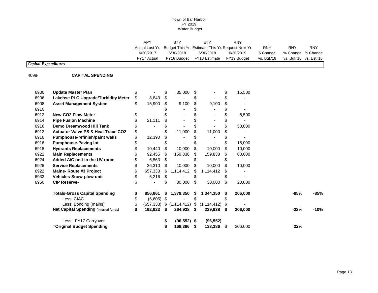APY BTY ETY RNY Actual Last Yr. Budget This Yr. Estimate This Yr. Request Next Yr. RNY RNY RNY RNY 6/30/2018 6/30/2019 \$ Change % Change % Change % Change % C \$ Change % Change % Change % Change % Change % Change % Change FY17 Actual FY18 Budget FY18 Estimate FY19 Budget vs. Bgt.'18

### *Capital Expenditures*

4098- **CAPITAL SPENDING**

| 6900 | <b>Update Master Plan</b>                     |                  | \$ | 35,000         | \$ |               |    | 15,500  |        |     |        |
|------|-----------------------------------------------|------------------|----|----------------|----|---------------|----|---------|--------|-----|--------|
| 6906 | Lakehse PLC Upgrade/Turbidity Meter           | 8,843            | \$ |                | \$ |               |    |         |        |     |        |
| 6908 | <b>Asset Management System</b>                | 15,900           | \$ | 9,100          | \$ | 9,100         |    |         |        |     |        |
| 6910 |                                               |                  |    |                |    |               |    |         |        |     |        |
| 6912 | <b>New CO2 Flow Meter</b>                     |                  |    |                |    |               |    | 5,500   |        |     |        |
| 6914 | <b>Pipe Fusion Machine</b>                    | 21,111           |    |                |    |               |    |         |        |     |        |
| 6916 | <b>Demo Dreamwood Hill Tank</b>               |                  |    |                |    |               |    | 50,000  |        |     |        |
| 6912 | <b>Actuator Valve-PS &amp; Heat Trace CO2</b> |                  |    | 11,000         |    | 11,000        |    |         |        |     |        |
| 6916 | Pumphouse-refinish/paint walls                | 12,390           |    |                |    |               |    |         |        |     |        |
| 6916 | <b>Pumphouse-Paving lot</b>                   |                  |    |                |    |               |    | 15,000  |        |     |        |
| 6918 | <b>Hydrants Replacements</b>                  | 10,440           | \$ | 10,000         | \$ | 10,000        |    | 10,000  |        |     |        |
| 6922 | <b>Main Replacements</b>                      | 92,455           | \$ | 159,838        | \$ | 159,838       | S  | 80,000  |        |     |        |
| 6924 | Added A/C unit in the UV room                 | 6,863            | S  |                |    |               |    |         |        |     |        |
| 6928 | <b>Service Replacements</b>                   | 26,310           | \$ | 10,000         | \$ | 10,000        |    | 10,000  |        |     |        |
| 6922 | <b>Mains-Route #3 Project</b>                 | 657,333          | S  | 1,114,412      | S  | 1,114,412     |    |         |        |     |        |
| 6932 | <b>Vehicles-Snow plow unit</b>                | 5,216            | \$ |                | \$ |               |    |         |        |     |        |
| 6950 | <b>CIP Reserve-</b>                           |                  | \$ | 30,000         | \$ | 30,000        | S  | 20,000  |        |     |        |
|      | <b>Totals-Gross Capital Spending</b>          | 856.861          | S  | 1,379,350      | S  | 1,344,350     |    | 206,000 | $-85%$ |     | -85%   |
|      | Less: CIAC                                    | $(6,605)$ \$     |    |                | \$ |               |    |         |        |     |        |
|      | Less: Bonding (mains)                         | \$<br>(657, 333) |    | \$(1,114,412)  | \$ | (1, 114, 412) |    |         |        |     |        |
|      | <b>Net Capital Spending (internal funds)</b>  | \$<br>192,923    | \$ | 264,938        | \$ | 229,938       | S  | 206,000 | $-22%$ |     | $-10%$ |
|      | Less: FY17 Carryover                          |                  |    | $(96, 552)$ \$ |    | (96, 552)     |    |         |        |     |        |
|      | =Original Budget Spending                     |                  |    | 168,386        | S  | 133,386       | \$ | 206,000 |        | 22% |        |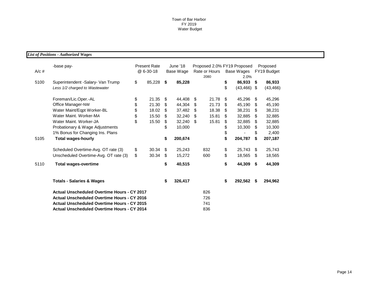*List of Positions - Authorized Wages*

| $A/c$ # | -base pay-                                                          | <b>Present Rate</b><br>@ 6-30-18 |        | June '18<br>Base Wage | Proposed 2.0% FY19 Proposed<br>Rate or Hours<br>2080 |       |          | Base Wages<br>2.0%       | Proposed<br>FY19 Budget |                     |
|---------|---------------------------------------------------------------------|----------------------------------|--------|-----------------------|------------------------------------------------------|-------|----------|--------------------------|-------------------------|---------------------|
| 5100    | Superintendent -Salary- Van Trump<br>Less 1/2 charged to Wastewater | \$                               | 85,228 | \$<br>85,228          |                                                      |       | \$<br>\$ | 86,933<br>$(43, 466)$ \$ | - \$                    | 86,933<br>(43, 466) |
|         | Foreman/Lic.Oper.-AL                                                | \$                               | 21.35  | \$<br>44,408          | S.                                                   | 21.78 | \$       | 45,296                   | \$                      | 45,296              |
|         | Office Manager-NW                                                   | \$                               | 21.30  | \$<br>44,304          | \$                                                   | 21.73 | \$       | 45,190                   | S                       | 45,190              |
|         | Water Maint/Eqpt Worker-BL                                          | \$                               | 18.02  | \$<br>37,482          | \$                                                   | 18.38 | \$.      | 38,231                   | \$                      | 38,231              |
|         | Water Maint, Worker-MA                                              | \$                               | 15.50  | \$<br>32,240          | \$                                                   | 15.81 | \$       | 32,885                   | \$                      | 32,885              |
|         | Water Maint, Worker-JA                                              | \$                               | 15.50  | \$<br>32,240          | -\$                                                  | 15.81 | \$       | 32,885                   | \$                      | 32,885              |
|         | Probationary & Wage Adjustments                                     |                                  |        | \$<br>10,000          |                                                      |       | \$       | 10,300                   | \$                      | 10,300              |
|         | 1% Bonus for Changing Ins. Plans                                    |                                  |        |                       |                                                      |       | \$       |                          | \$                      | 2,400               |
| 5105    | <b>Total wages-hourly</b>                                           |                                  |        | \$<br>200,674         |                                                      |       | \$       | 204,787                  | \$                      | 207,187             |
|         | Scheduled Overtime-Avg. OT rate (3)                                 | \$                               | 30.34  | \$<br>25,243          |                                                      | 832   | \$       | 25,743                   | \$.                     | 25,743              |
|         | Unscheduled Overtime-Avg. OT rate (3)                               | \$                               | 30.34  | \$<br>15,272          |                                                      | 600   | \$       | 18,565                   | \$                      | 18,565              |
| 5110    | <b>Total wages-overtime</b>                                         |                                  |        | \$<br>40,515          |                                                      |       | \$       | 44,309                   | \$                      | 44,309              |
|         | <b>Totals - Salaries &amp; Wages</b>                                |                                  |        | \$<br>326,417         |                                                      |       | \$       | 292,562                  | \$                      | 294,962             |
|         | <b>Actual Unscheduled Overtime Hours - CY 2017</b>                  |                                  |        |                       |                                                      | 826   |          |                          |                         |                     |
|         | <b>Actual Unscheduled Overtime Hours - CY 2016</b>                  |                                  |        |                       |                                                      | 726   |          |                          |                         |                     |
|         | <b>Actual Unscheduled Overtime Hours - CY 2015</b>                  |                                  |        |                       |                                                      | 741   |          |                          |                         |                     |
|         | <b>Actual Unscheduled Overtime Hours - CY 2014</b>                  |                                  |        |                       |                                                      | 836   |          |                          |                         |                     |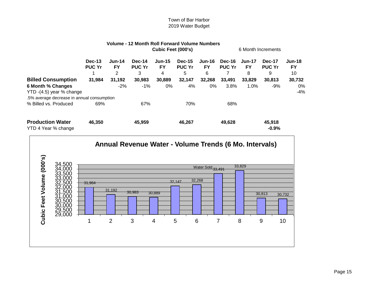|                                                                                             |                                |                            | Volume - 12 Month Roll Forward Volume Numbers |                                 |                                     |                                 |                         |                                 |                              |                           |
|---------------------------------------------------------------------------------------------|--------------------------------|----------------------------|-----------------------------------------------|---------------------------------|-------------------------------------|---------------------------------|-------------------------|---------------------------------|------------------------------|---------------------------|
|                                                                                             |                                |                            |                                               | Cubic Feet (000's)              |                                     |                                 |                         |                                 | 6 Month Increments           |                           |
|                                                                                             | <b>Dec-13</b><br><b>PUC Yr</b> | $Jun-14$<br><b>FY</b><br>2 | Dec-14<br><b>PUC Yr</b><br>3                  | <b>Jun-15</b><br><b>FY</b><br>4 | <b>Dec-15</b><br><b>PUC Yr</b><br>5 | <b>Jun-16</b><br><b>FY</b><br>6 | Dec-16<br><b>PUC Yr</b> | <b>Jun-17</b><br><b>FY</b><br>8 | Dec-17<br><b>PUC Yr</b><br>9 | <b>Jun-18</b><br>FY<br>10 |
| <b>Billed Consumption</b>                                                                   | 31,984                         | 31,192                     | 30,983                                        | 30,889                          | 32,147                              | 32,268                          | 33.491                  | 33,829                          | 30,813                       | 30,732                    |
| 6 Month % Changes<br>YTD -(4.5) year % change<br>.5% average decrease in annual consumption |                                | $-2%$                      | $-1%$                                         | 0%                              | 4%                                  | 0%                              | 3.8%                    | 1.0%                            | $-9%$                        | 0%<br>$-4%$               |
| % Billed vs. Produced                                                                       | 69%                            |                            | 67%                                           |                                 | 70%                                 |                                 | 68%                     |                                 |                              |                           |
| <b>Production Water</b><br>YTD 4 Year % change                                              | 46.350                         |                            | 45,959                                        |                                 | 46,267                              |                                 | 49,628                  |                                 | 45,918<br>$-0.9%$            |                           |

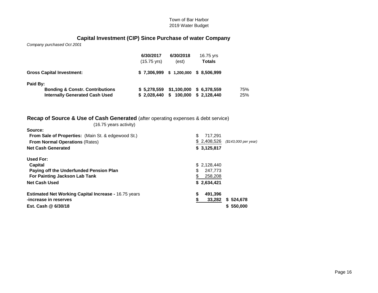# **Capital Investment (CIP) Since Purchase of water Company**

*Company purchased Oct 2001*

|                                            | 6/30/2017<br>$(15.75 \text{ vrs})$ | 6/30/2018<br>(est) | 16.75 yrs<br><b>Totals</b>             |     |
|--------------------------------------------|------------------------------------|--------------------|----------------------------------------|-----|
| <b>Gross Capital Investment:</b>           | \$7.306.999                        |                    | \$ 1,200,000 \$ 8,506,999              |     |
| Paid By:                                   |                                    |                    |                                        |     |
| <b>Bonding &amp; Constr. Contributions</b> |                                    |                    | $$5,278,559$ $$1,100,000$ $$6,378,559$ | 75% |
| <b>Internally Generated Cash Used</b>      | \$2.028,440                        | 100,000<br>S.      | \$2,128,440                            | 25% |

# **Recap of Source & Use of Cash Generated** (after operating expenses & debt service)

(16.75 years activity)

| Source:                                                     |   |             |                      |
|-------------------------------------------------------------|---|-------------|----------------------|
| <b>From Sale of Properties:</b> (Main St. & edgewood St.)   | S | 717,291     |                      |
| <b>From Normal Operations (Rates)</b>                       |   | \$2,408,526 | (\$143,000 per year) |
| <b>Net Cash Generated</b>                                   |   | \$3,125,817 |                      |
| Used For:                                                   |   |             |                      |
| Capital                                                     |   | \$2,128,440 |                      |
| Paying off the Underfunded Pension Plan                     | S | 247.773     |                      |
| For Painting Jackson Lab Tank                               |   | 258,208     |                      |
| <b>Net Cash Used</b>                                        |   | \$2,634,421 |                      |
| <b>Estimated Net Working Capital Increase - 16.75 years</b> |   | 491.396     |                      |
| -increase in reserves                                       |   | 33,282      | \$524,678            |
| Est. Cash @ 6/30/18                                         |   |             | \$550,000            |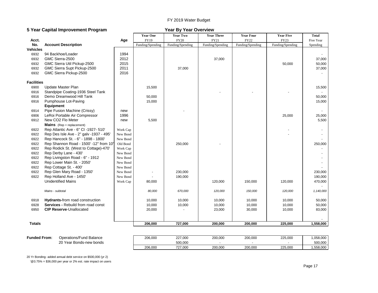## FY 2019 Water Budget

## **5 Year Capital Improvement Program Year By Year Overview**

|                     |                                         |          | <b>Year One</b>  | Year Two         | <b>Year Three</b> | <b>Year Four</b> | <b>Year Five</b> | <b>Total</b> |
|---------------------|-----------------------------------------|----------|------------------|------------------|-------------------|------------------|------------------|--------------|
| Acct.               |                                         | Age      | FY19             | <b>FY20</b>      | FY21              | FY22             | FY23             | Five Year    |
| No.                 | <b>Account Description</b>              |          | Funding/Spending | Funding/Spending | Funding/Spending  | Funding/Spending | Funding/Spending | Spending     |
| <b>Vehicles</b>     |                                         |          |                  |                  |                   |                  |                  |              |
| 6932                | 94 Backhoe/Loader                       | 1994     |                  |                  |                   |                  |                  |              |
| 6932                | GMC Sierra-2500                         | 2012     |                  |                  | 37,000            |                  |                  | 37,000       |
| 6932                | GMC Sierra Util Pickup-2500             | 2015     |                  |                  |                   |                  | 50,000           | 50,000       |
| 6932                | GMC Sierra Supt Pickup-2500             | 2011     |                  | 37,000           |                   |                  |                  | 37,000       |
| 6932                | GMC Sierra Pickup-2500                  | 2016     |                  |                  |                   |                  |                  |              |
| <b>Facilities</b>   |                                         |          |                  |                  |                   |                  |                  |              |
| 6900                | Update Master Plan                      |          | 15,500           |                  |                   |                  |                  | 15,500       |
| 6916                | Standpipe Coating-1936 Steel Tank       |          |                  |                  |                   |                  |                  |              |
| 6916                | Demo Dreamwood Hill Tank                |          | 50,000           |                  |                   |                  |                  | 50,000       |
| 6916                | Pumphouse Lot-Paving                    |          | 15,000           |                  |                   |                  |                  | 15,000       |
|                     | <b>Equipment</b>                        |          |                  |                  |                   |                  |                  |              |
| 6914                | Pipe Fusion Machine (Crissy)            | new      |                  |                  |                   |                  |                  |              |
| 6906                | LeRoi Portable Air Compressor           | 1996     |                  |                  |                   |                  | 25,000           | 25,000       |
| 6912                | New CO2 Flo Meter                       | new      | 5,500            |                  |                   |                  |                  | 5,500        |
|                     | <b>Mains</b> (Rep = replacement)        |          |                  |                  |                   |                  |                  |              |
| 6922                | Rep Atlantic Ave - 6" CI - 1927- 510'   | Work Cap |                  |                  |                   |                  |                  |              |
| 6922                | Rep Des Isle Ave - 2" galv -1937 - 495' | New Bond |                  |                  |                   |                  |                  |              |
| 6922                | Rep Hancock St. - 6" - 1898 - 1800'     | New Bond |                  |                  |                   |                  |                  |              |
| 6922                | Rep Shannon Road - 1500' -12" from 10'  | Old Bond |                  | 250,000          |                   |                  |                  | 250,000      |
| 6922                | Rep Rodick St. (West to Cottage)-470'   | Work Cap |                  |                  |                   |                  |                  |              |
| 6922                | Rep Derby Lane - 430'                   | New Bond |                  |                  |                   |                  |                  |              |
| 6922                | Rep Livingston Road - 6" - 1912         | New Bond |                  |                  |                   |                  |                  |              |
| 6922                | Rep Lower Main St. - 2050'              | New Bond |                  |                  |                   |                  |                  |              |
| 6922                | Rep Cottage St. - 400'                  | New Bond |                  |                  |                   |                  |                  |              |
| 6922                | Rep Glen Mary Road - 1350'              | New Bond |                  | 230,000          |                   |                  |                  | 230,000      |
| 6922                | Rep Holland Ave - 1450'                 | New Bond |                  | 190,000          |                   |                  |                  | 190,000      |
|                     | <b>Unidentified Mains</b>               | Work Cap | 80,000           |                  | 120,000           | 150,000          | 120,000          | 470,000      |
|                     |                                         |          |                  |                  |                   |                  |                  |              |
|                     | Mains - subtotal                        |          | 80,000           | 670,000          | 120,000           | 150,000          | 120,000          | 1,140,000    |
| 6918                | <b>Hydrants-from road construction</b>  |          | 10,000           | 10,000           | 10,000            | 10,000           | 10,000           | 50,000       |
| 6928                | Services - Rebuild from road const      |          | 10,000           | 10,000           | 10,000            | 10,000           | 10,000           | 50,000       |
| 6950                | <b>CIP Reserve-Unallocated</b>          |          | 20,000           |                  | 23,000            | 30,000           | 10,000           | 83,000       |
|                     |                                         |          |                  |                  |                   |                  |                  |              |
| <b>Totals</b>       |                                         |          | 206,000          | 727,000          | 200,000           | 200,000          | 225,000          | 1,558,000    |
|                     |                                         |          |                  |                  |                   |                  |                  |              |
| <b>Funded From:</b> | Operations/Fund Balance                 |          | 206.000          | 227.000          | 200.000           | 200.000          | 225.000          | 1.058.000    |

| Funded From: | Operations/Fund Balance | 206.000 | 227,000 | 200,000 | 200,000 | 225.000 | 058,000.  |
|--------------|-------------------------|---------|---------|---------|---------|---------|-----------|
|              | 20 Year Bonds-new bonds |         | 500.000 |         |         |         | 500,000   |
|              |                         | 206,000 | 727,000 | 200,000 | 200,000 | 225,000 | 1.558.000 |

20 Yr Bonding- added annual debt service on \$500,000 (yr 2)

'@3.75% = \$36,000 per year or 2% est. rate impact on users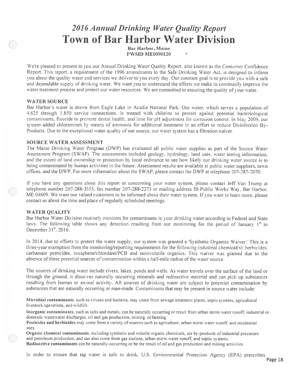# 2016 Annual Drinking Water Quality Report **Town of Bar Harbor Water Division**

**Bar Harbor, Maine PWSID ME0090120** 

We're pleased to present to you our Annual Drinking Water Quality Report, also known as the Consumer Confidence Report. This report, a requirement of the 1996 amendments to the Safe Drinking Water Act, is designed to inform you about the quality water and services we deliver to you every day. Our constant goal is to provide you with a safe and dependable supply of drinking water. We want you to understand the efforts we make to continually improve the water treatment process and protect our water resources. We are committed to ensuring the quality of your water.

## **WATER SOURCE**

Bar Harbor's water is drawn from Eagle Lake in Acadia National Park. Our water, which serves a population of 4,625 through 1,850 service connections, is treated with chlorine to protect against potential bacteriological contaminants. fluoride to promote dental health, and lime for pH adjustment for corrosion control. In May 2009, our system added chloramines by means of ammonia for additional treatment in an effort to reduce Disinfection By-Products. Due to the exceptional water quality of our source, our water system has a filtration waiver.

## **SOURCE WATER ASSESSMENT**

The Maine Drinking Water Program (DWP) has evaluated all public water supplies as part of the Source Water Assessment Program (SWAP). The assessments included geology, hydrology, land uses, water testing information, and the extent of land ownership or protection by local ordinance to see how likely our drinking water source is to being contaminated by human activities in the future. Assessment results are available at public water suppliers, town offices, and the DWP. For more information about the SWAP, please contact the DWP at telephone 207-287-2070.

If you have any questions about this report or concerning your water system, please contact Jeff Van Trump at telephone number 207-288-3555, fax number 207-288-2273 or mailing address 50 Public Works Way, Bar Harbor, ME 04609. We want our valued customers to be informed about their water system. If you want to learn more, please contact us about the time and place of regularly scheduled meetings.

## **WATER QUALITY**

Bar Harbor Water Division routinely monitors for contaminants in your drinking water according to Federal and State laws. The following table shows any detection resulting from our monitoring for the period of January 1<sup>st</sup> to December 31<sup>st</sup>, 2016.

In 2014, due to efforts to protect the water supply, our system was granted a 'Synthetic Organics Waiver.' This is a three-year exemption from the monitoring/reporting requirements for the following industrial chemical(s): herbicides. carbamate pesticides, toxaphene/chlordane/PCB and semivolatile organics. This waiver was granted due to the absence of these potential sources of contamination within a half-mile radius of the water source.

The sources of drinking water include rivers, lakes, ponds and wells. As water travels over the surface of the land or through the ground, it dissolves naturally occurring minerals and radioactive material and can pick up substances resulting from human or animal activity. All sources of drinking water are subject to potential contamination by substances that are naturally occurring or man-made. Contaminants that may be present in source water include:

Microbial contaminants, such as viruses and bacteria, may come from sewage treatment plants, septicsystems, agricultural livestock operations, and wildlife.

Inorganic contaminants, such as salts and metals, can be naturally occurring or result from urban storm water runoff, industrial or domestic wastewater discharges, oil and gas production, mining, or farming.

Pesticides and herbicides may come from a variety of sources such as agriculture, urban storm water runoff, and residential uses.

Organic chemical contaminants, including synthetic and volatile organic chemicals, are by-products of industrial processes and petroleum production, and can also come from gas stations, urban storm water runoff, and septic systems. Radioactive contaminants can be naturally-occurring or be the result of oil and gas production and mining activities.

In order to ensure that tap water is safe to drink, U.S. Environmental Protection Agency (EPA) prescribes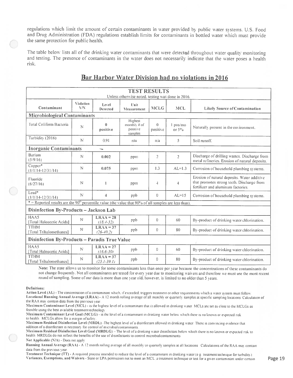regulations which limit the amount of certain contaminants in water provided by public water systems. U.S. Food and Drug Administration (FDA) regulations establish limits for contaminants in bottled water which must provide the same protection for public health.

The table below lists all of the drinking water contaminants that were detected throughout water quality monitoring and testing. The presence of contaminants in the water does not necessarily indicate that the water poses a health risk.

| <b>TEST RESULTS</b>                                                                                                 |                        |                                |                                                   |                      |                      |                                                                                                                                 |  |
|---------------------------------------------------------------------------------------------------------------------|------------------------|--------------------------------|---------------------------------------------------|----------------------|----------------------|---------------------------------------------------------------------------------------------------------------------------------|--|
|                                                                                                                     |                        |                                | Unless otherwise noted, testing was done in 2016. |                      |                      |                                                                                                                                 |  |
| Contaminant                                                                                                         | <b>Violation</b><br>YN | Level<br>Detected              | <b>Unit</b><br>Measurement                        | <b>MCLG</b>          | <b>MCL</b>           | <b>Likely Source of Contamination</b>                                                                                           |  |
| <b>Microbiological Contaminants</b>                                                                                 |                        |                                |                                                   |                      |                      |                                                                                                                                 |  |
| Total Coliform Bacteria                                                                                             | N                      | $\bf{0}$<br>positive           | Highest<br>monthly $#$ of<br>positive<br>samples  | $\theta$<br>positive | l pos/mo<br>or $5\%$ | Naturally present in the environment.                                                                                           |  |
| Turbidity (2016)                                                                                                    | N                      | 0.91                           | ntu                                               | n/a                  | 5                    | Soil runoff.                                                                                                                    |  |
| <b>Inorganic Contaminants</b>                                                                                       |                        | $\overline{\phantom{0}}$       |                                                   |                      |                      |                                                                                                                                 |  |
| Barium<br>(5/9/16)                                                                                                  | N                      | 0.002                          | ppm                                               | $\overline{2}$       | $\overline{2}$       | Discharge of drilling wastes. Discharge from<br>metal refineries. Erosion of natural deposits.                                  |  |
| Copper*<br>$(1/1/14 - 12/31/14)$                                                                                    | N                      | 0.075                          | ppm                                               | 1.3                  | $AL=1.3$             | Corrosion of household plumbing systems.                                                                                        |  |
| Fluoride<br>(6/27/16)                                                                                               | N                      | 1                              | ppm                                               | $\overline{4}$       | 4                    | Erosion of natural deposits. Water additive<br>that promotes strong teeth. Discharge from<br>fertilizer and aluminum factories. |  |
| Lead*<br>$(1/1/14 - 12/31/14)$                                                                                      | N                      | 4                              | ppb                                               | $\theta$             | $AL=15$              | Corrosion of household plumbing systems.                                                                                        |  |
| $*$ = Reported results are the 90 <sup>th</sup> percentile value (the value that 90% of all samples are less than). |                        |                                |                                                   |                      |                      |                                                                                                                                 |  |
| Disinfection By-Products - Jackson Lab                                                                              |                        |                                |                                                   |                      |                      |                                                                                                                                 |  |
| HAAS<br>[Total Haloacetic Acids]                                                                                    | $\mathbb N$            | $LRAA = 28$<br>$(18.4 - 32)$   | ppb                                               | $\bf{0}$             | 60                   | By-product of drinking water chlorination.                                                                                      |  |
| <b>TTHM</b><br>[Total Trihalomethanes]                                                                              | $\mathbb{N}$           | $LRAA = 37$<br>$(26 - 40.2)$   | ppb                                               | $\theta$             | 80                   | By-product of drinking water chlorination.                                                                                      |  |
| Disinfection By-Products - Paradis True Value                                                                       |                        |                                |                                                   |                      |                      |                                                                                                                                 |  |
| HAA5<br>[Total Haloacetic Acids]                                                                                    | $\mathbb{N}$           | $LRAA = 27$<br>$(16.6 - 30)$   | ppb                                               | $\mathbf{0}$         | 60                   | By-product of drinking water chlorination.                                                                                      |  |
| <b>TTHM</b><br>[Total Trihalomethanes]                                                                              | N                      | $LRAA = 37$<br>$(25.1 - 39.1)$ | ppb                                               | 0                    | 80                   | By-product of drinking water chlorination.                                                                                      |  |

# **Bar Harbor Water Division had no violations in 2016**

Note: The state allows us to monitor for some contaminants less than once per year because the concentrations of these contaminants do not change frequently. Not all contaminants are tested for every year due to monitoring waivers and therefore we must use the most recent round of sampling. Some of our data is more than one year old. however, is limited to no older than 5 years.

#### Definitions:

Action Level (AL) - The concentration of a contaminant which, if exceeded, triggers treatment or other requirements which a water system must follow Locational Running Annual Average (LRAA) - A 12 month rolling average of all monthly or quarterly samples at specific sampling locations Calculation of the RAA may contain data from the previous year.

Maximum Contaminant Level (MCL) - is the highest level of a contaminant that is allowed in drinking water MCLs are set as close to the MCLGs as feasible using the best available treatment technology

Maximum Contaminant Level Goal (MCLG) - is the level of a contaminant in drinking water below which there is no known or expected risk to health. MCLGs allow for a margin of safety

Maximum Residual Disinfection Level (MRDL) -The highest level of a disinfectant allowed in drinking water. There is convincing evidence that addition of a disinfectant is necessary for control of microbial contaminants.

Maximum Residual Disinfection Level Goal (MRDLG) = The level of a drinking water disinfectant below which there is no known or expected risk to health MRDLGs do not reflect the benefits of the use of disinfectants to control microbial contaminants Not Applicable (N/A) - Does not apply

Running Annual Average (RAA) - A 12 month rolling average of all monthly or quarterly samples at all locations Calculations of the RAA may contain data from the previous year.

Treatment Technique (TT) - A required process intended to reduce the level of a contaminant in drinking water (e.g. treatment technique for turbidity). Variances, Exemptions, and Waivers - State or EPA permission not to meet an MCL, a treatment technique or test for a given contaminant under certain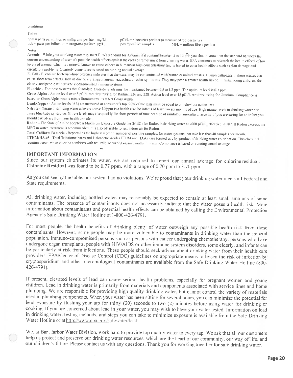#### conditions

#### Units:

ppm = parts per million or milligrams per liter (mg/L)  $ppb$  = parts per billion or micrograms perliter ( $\mu$ g/L)

pC1/L = picocuries per liter (a measure of radioactivity) pos = positive samples  $MFL =$  million fibers per liter

#### Notes:

Arsenic - While your drinking water may meet EPA's standard for Arsenic, if it contains between 5 to 10 ppb you should know that the standard balances the current understanding of arsenic's possible health effects against the costs of removing it from drinking water. EPA continues to research the health effects of low levels of arsenic, which is a mineral known to cause cancer in humans at high concentrations and is linked to other health effects such as skin damage and circulatory problems Quarterly compliance is based on running annual average

E. Coli - E. coli are bacteria whose presence indicates that the water may be contaminated with human or animal wastes. Human pathogens in these wastes can cause short-term effects, such as diarrhea, cramps, nausea, headaches, or other symptoms. They may pose a greater health risk for infants, young children, the elderly, and people with severely-compromised immune systems.

Fluoride - For those systems that fluoridate, fluoride levels must be maintained between 0.5 to 1.2 ppm. The optimum level is 0.7 ppm Gross Alpha - Action level over 5 pCi/L requires testing for Radium 226 and 228 Action level over 15 pCi/L requires testing for Uranium Compliance is based on Gross Alpha results minus Uranium results = Net Gross Alpha

Lead/Copper - Action levels (AL) are measured at consumer's tap. 90% of the tests must be equal to or below the action level

Nitrate - Nitrate in drinking water at levels above 10 ppm is a health risk for infants of less than six months of age. High nitrate levels in drinking water can cause blue baby syndrome. Nitrate levels may rise quickly for short periods of time because of rainfall or agricultural activity. If you are earing for an infant you should ask advice from your health provider

Radon - The State of Maine adopted a Maximum Exposure Guideline (MEG) for Radon in drinking water at 4000 pCi/L, effective 1/1/07. If Radon exceeds the MEG in water, treatment is recommended It is also advisable to test indoor air for Radon

Total Coliform Bacteria - Reported as the highest monthly number of positive samples, for water systems that take less than 40 samples per month TTHM/HAA5 - Total Trihalomethanes and Haloacetic Acids (TTHM and HAA5) are formed as a by-product of drinking water chlorination. This chemical reaction occurs when chlorine combines with naturally occurring organic matter in water. Compliance is based on running annual average

## **IMPORTANT INFORMATION**

Since our system chlorinates its water, we are required to report our annual average for chlorine residual. Chlorine Residual was found to be 1.77 ppm. with a range of 0.70 ppm to 3.70 ppm.

As you can see by the table, our system had no violations. We're proud that your drinking water meets all Federal and State requirements.

All drinking water, including bottled water, may reasonably be expected to contain at least small amounts of some contaminants. The presence of contaminants does not necessarily indicate that the water poses a health risk. More information about contaminants and potential health effects can be obtained by calling the Environmental Protection Agency's Safe Drinking Water Hotline at 1-800-426-4791.

For most people, the health benefits of drinking plenty of water outweigh any possible health risk from these contaminants. However, some people may be more vulnerable to contaminants in drinking water than the general population. Immuno-compromised persons such as persons with cancer undergoing chemotherapy, persons who have undergone organ transplants, people with HIV/AIDS or other immune system disorders, some elderly, and infants can be particularly at risk from infections. These people should seek advice about drinking water from their health care providers. EPA/Center of Disease Control (CDC) guidelines on appropriate means to lessen the risk of infection by cryptosporidium and other microbiological contaminants are available from the Safe Drinking Water Hotline (800-426-4791).

If present, elevated levels of lead can cause serious health problems, especially for pregnant women and young children. Lead in drinking water is primarily from materials and components associated with service lines and home plumbing. We are responsible for providing high quality drinking water, but cannot control the variety of materials used in plumbing components. When your water has been sitting for several hours, you can minimize the potential for lead exposure by flushing your tap for thirty (30) seconds to two (2) minutes before using water for drinking or cooking. If you are concerned about lead in your water, you may wish to have your water tested. Information on lead in drinking water, testing methods, and steps you can take to minimize exposure is available from the Safe Drinking Water Hotline or at http://www.epa.gov/safewater/lead.

We, at Bar Harbor Water Division, work hard to provide top quality water to every tap. We ask that all our customers help us protect and preserve our drinking water resources. which are the heart of our community, our way of life, and our children's future. Please contact us with any questions. Thank you for working together for safe drinking water.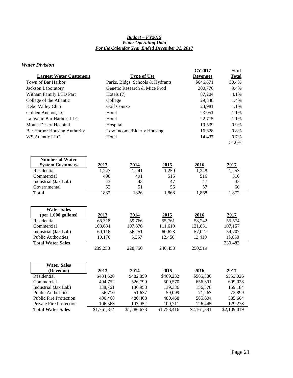#### *Budget – FY2019 Water Operating Data For the Calendar Year Ended December 31, 2017*

## *Water Division*

|                                     |                    |                                  |             | <b>CY2017</b>   | $%$ of       |
|-------------------------------------|--------------------|----------------------------------|-------------|-----------------|--------------|
| <b>Largest Water Customers</b>      |                    | <b>Type of Use</b>               |             | <b>Revenues</b> | <u>Total</u> |
| Town of Bar Harbor                  |                    | Parks, Bldgs, Schools & Hydrants |             | \$646,671       | 30.4%        |
| Jackson Laboratory                  |                    | Genetic Research & Mice Prod     |             | 200,770         | 9.4%         |
| Witham Family LTD Part              | Hotels (7)         |                                  |             | 87,204          | 4.1%         |
| College of the Atlantic             | College            |                                  |             | 29,348          | 1.4%         |
| Kebo Valley Club                    | <b>Golf Course</b> |                                  |             | 23,981          | 1.1%         |
| Golden Anchor, LC                   | Hotel              |                                  | 23,051      | 1.1%            |              |
| Lafayette Bar Harbor, LLC           | Hotel              |                                  |             | 22,775          | 1.1%         |
| Mount Desert Hospital               | Hospital           |                                  |             | 19,539          | 0.9%         |
| <b>Bar Harbor Housing Authority</b> |                    | Low Income/Elderly Housing       |             | 16,328          | 0.8%         |
| WS Atlantic LLC                     | Hotel              |                                  |             | 14,437          | 0.7%         |
|                                     |                    |                                  |             |                 | 51.0%        |
|                                     |                    |                                  |             |                 |              |
|                                     |                    |                                  |             |                 |              |
| <b>Number of Water</b>              |                    |                                  |             |                 |              |
| <b>System Customers</b>             | 2013               | 2014                             | 2015        | 2016            | 2017         |
| Residential                         | 1,247              | 1,241                            | 1,250       | 1,248           | 1,253        |
| Commercial                          | 490                | 491                              | 515         | 516             | 516          |
| Industrial (Jax Lab)                | 43<br>52           | 43<br>51                         | 47<br>56    | 47<br>57        | 43<br>60     |
| Governmental                        | 1832               | 1826                             | 1,868       | 1,868           | 1,872        |
| <b>Total</b>                        |                    |                                  |             |                 |              |
|                                     |                    |                                  |             |                 |              |
| <b>Water Sales</b>                  |                    |                                  |             |                 |              |
| $(per 1,000$ gallons)               | 2013               | 2014                             | 2015        | 2016            | 2017         |
| Residential                         | 65,318             | 59,766                           | 55,761      | 58,242          | 55,574       |
| Commercial                          | 103,634            | 107,376                          | 111,619     | 121,831         | 107,157      |
| Industrial (Jax Lab)                | 60,116             | 56,251                           | 60,628      | 57,027          | 54,702       |
| <b>Public Authorities</b>           | 10,170             | 5,357                            | 12,450      | 13,419          | 13,050       |
| <b>Total Water Sales</b>            |                    |                                  |             |                 | 230,483      |
|                                     | 239,238            | 228,750                          | 240,458     | 250,519         |              |
|                                     |                    |                                  |             |                 |              |
| <b>Water Sales</b>                  |                    |                                  |             |                 |              |
| (Revenue)                           | 2013               | 2014                             | 2015        | 2016            | 2017         |
| Residential                         | \$484,620          | \$482,859                        | \$469,232   | \$565,386       | \$553,026    |
| Commercial                          | 494,752            | 526,799                          | 500,570     | 656,301         | 609,028      |
| Industrial (Jax Lab)                | 138,761            | 136,958                          | 139,336     | 156,378         | 159,184      |
| <b>Public Authorities</b>           | 56,710             | 51,637                           | 59,099      | 71,267          | 72,899       |
| <b>Public Fire Protection</b>       | 480,468            | 480,468                          | 480,468     | 585,604         | 585,604      |
| <b>Private Fire Protection</b>      | 106,563            | 107,952                          | 109,711     | 126,445         | 129,278      |
| <b>Total Water Sales</b>            | \$1,761,874        | \$1,786,673                      | \$1,758,416 | \$2,161,381     | \$2,109,019  |
|                                     |                    |                                  |             |                 |              |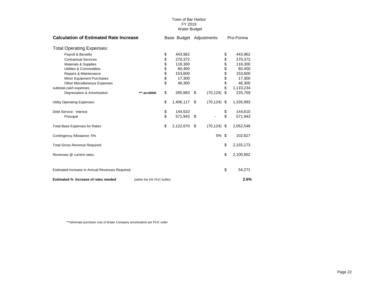| <b>Calculation of Estimated Rate Increase</b>   |                            |          | Base-Budget Adjustments |    |                |    | Pro-Forma |  |
|-------------------------------------------------|----------------------------|----------|-------------------------|----|----------------|----|-----------|--|
| <b>Total Operating Expenses:</b>                |                            |          |                         |    |                |    |           |  |
| Payroll & Benefits                              |                            | \$       | 443,962                 |    |                | \$ | 443,962   |  |
| <b>Contractual Services</b>                     |                            | \$       | 270.372                 |    |                | \$ | 270,372   |  |
| Materials & Supplies                            |                            |          | 118.300                 |    |                | \$ | 118,300   |  |
| Utilities & Commodities                         |                            | \$\$\$\$ | 60,400                  |    |                | \$ | 60,400    |  |
| Repairs & Maintenance                           |                            |          | 153,600                 |    |                | \$ | 153,600   |  |
| Minor Equipment Purchases                       |                            |          | 17,300                  |    |                | \$ | 17,300    |  |
| Other Miscellaneous Expenses                    |                            | \$       | 46,300                  |    |                | \$ | 46,300    |  |
| subtotal-cash expenses                          |                            |          |                         |    |                | \$ | 1,110,234 |  |
| Depreciation & Amortization                     | *** a/c#6000               | \$       | 295,883                 | \$ | (70, 124)      | \$ | 225,759   |  |
| Utility Operating Expenses:                     |                            | \$       | 1,406,117               | \$ | $(70, 124)$ \$ |    | 1,335,993 |  |
| Debt Service: Interest                          |                            | \$       | 144,610                 |    |                | \$ | 144,610   |  |
| Principal                                       |                            | \$       | 571,943                 | \$ |                | \$ | 571,943   |  |
| <b>Total Base Expenses for Rates</b>            |                            | \$       | 2,122,670               | \$ | $(70, 124)$ \$ |    | 2,052,546 |  |
| Contingency Allowance: 5%                       |                            |          |                         |    | 5% \$          |    | 102,627   |  |
| <b>Total Gross Revenue Required:</b>            |                            |          |                         |    |                | \$ | 2,155,173 |  |
| Revenues @ current rates:                       |                            |          |                         |    |                | \$ | 2,100,902 |  |
|                                                 |                            |          |                         |    |                |    |           |  |
| Esitmated Increase in Annual Revenues Required: |                            |          |                         |    |                | \$ | 54,271    |  |
| Estimated % Increase of rates needed            | (within the 5% PUC buffer) |          |                         |    |                |    | 2.6%      |  |

\*\*\*eliminate purchase cost of Water Company amortization per PUC order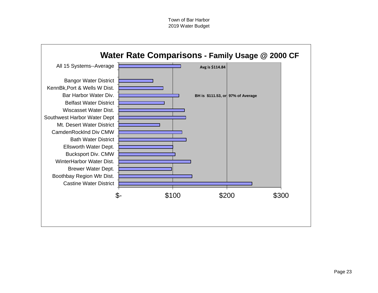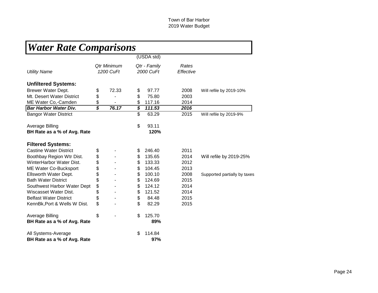| <b>Water Rate Comparisons</b> |                             |             |                                       |              |           |                              |
|-------------------------------|-----------------------------|-------------|---------------------------------------|--------------|-----------|------------------------------|
|                               |                             |             |                                       | (USDA std)   |           |                              |
|                               |                             | Qtr Minimum |                                       | Qtr - Family | Rates     |                              |
| <b>Utility Name</b>           |                             | 1200 CuFt   |                                       | 2000 CuFt    | Effective |                              |
| <b>Unfiltered Systems:</b>    |                             |             |                                       |              |           |                              |
| Brewer Water Dept.            | \$                          | 72.33       | \$                                    | 97.77        | 2008      | Will refile by 2019-10%      |
| Mt. Desert Water District     | \$                          |             | \$                                    | 75.80        | 2003      |                              |
| ME Water Co,-Camden           | \$                          |             | \$                                    | 117.16       | 2014      |                              |
| <b>Bar Harbor Water Div.</b>  | $\overline{\boldsymbol{s}}$ | 76.17       | $\overline{\boldsymbol{\mathcal{S}}}$ | 111.53       | 2016      |                              |
| <b>Bangor Water District</b>  |                             |             | $\overline{\mathbb{S}}$               | 63.29        | 2015      | Will refile by 2019-9%       |
| Average Billing               |                             |             | \$                                    | 93.11        |           |                              |
| BH Rate as a % of Avg. Rate   |                             |             |                                       | 120%         |           |                              |
| <b>Filtered Systems:</b>      |                             |             |                                       |              |           |                              |
| <b>Castine Water District</b> | \$                          |             | \$                                    | 246.40       | 2011      |                              |
| Boothbay Region Wtr Dist.     | \$                          |             | \$                                    | 135.65       | 2014      | Will refile by 2019-25%      |
| WinterHarbor Water Dist.      | \$                          |             | \$                                    | 133.33       | 2012      |                              |
| ME Water Co-Bucksport         | \$                          |             | \$                                    | 104.45       | 2013      |                              |
| Ellsworth Water Dept.         | \$                          |             | \$                                    | 100.10       | 2008      | Supported partially by taxes |
| <b>Bath Water District</b>    | \$                          |             | \$                                    | 124.69       | 2015      |                              |
| Southwest Harbor Water Dept   | \$                          |             | \$                                    | 124.12       | 2014      |                              |
| Wiscasset Water Dist.         | \$                          |             | \$                                    | 121.52       | 2014      |                              |
| <b>Belfast Water District</b> | \$                          |             | \$                                    | 84.48        | 2015      |                              |
| KennBk, Port & Wells W Dist.  | \$                          |             | \$                                    | 82.29        | 2015      |                              |
| Average Billing               | \$                          |             | \$                                    | 125.70       |           |                              |
| BH Rate as a % of Avg. Rate   |                             |             |                                       | 89%          |           |                              |
| All Systems-Average           |                             |             | \$                                    | 114.84       |           |                              |
| BH Rate as a % of Avg. Rate   |                             |             |                                       | 97%          |           |                              |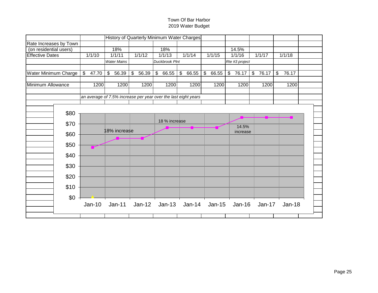|                            |                                                                |                                  | History of Quarterly Minimum Water Charges |             |                      |                |                                  |               |  |
|----------------------------|----------------------------------------------------------------|----------------------------------|--------------------------------------------|-------------|----------------------|----------------|----------------------------------|---------------|--|
| Rate Increases by Town     |                                                                |                                  |                                            |             |                      |                |                                  |               |  |
| (on residential users)     | 18%                                                            |                                  | 18%                                        |             |                      | 14.5%          |                                  |               |  |
| <b>Effective Dates</b>     | 1/1/10<br>1/1/11                                               | 1/1/12                           | 1/1/13                                     | 1/1/14      | 1/1/15               | 1/1/16         | 1/1/17                           | 1/1/18        |  |
|                            | <b>Water Mains</b>                                             |                                  | <b>Duckbrook Plnt</b>                      |             |                      | Rte #3 project |                                  |               |  |
|                            |                                                                |                                  |                                            |             |                      |                |                                  |               |  |
| Water Minimum Charge<br>\$ | $\sqrt[6]{\frac{1}{2}}$<br>47.70<br>56.39                      | $\sqrt[6]{\frac{1}{2}}$<br>56.39 | $\frac{1}{2}$<br>66.55                     | \$<br>66.55 | \$<br>66.55          | $\$\$<br>76.17 | $\sqrt[6]{\frac{1}{2}}$<br>76.17 | \$<br>76.17   |  |
| Minimum Allowance          | 1200<br>1200                                                   | 1200                             | 1200                                       | 1200        | 1200                 | 1200           | 1200                             | 1200          |  |
|                            |                                                                |                                  |                                            |             |                      |                |                                  |               |  |
|                            | an average of 7.5% increase per year over the last eight years |                                  |                                            |             |                      |                |                                  |               |  |
|                            |                                                                |                                  |                                            |             |                      |                |                                  |               |  |
| \$80                       |                                                                |                                  |                                            |             |                      |                |                                  |               |  |
|                            |                                                                |                                  |                                            |             |                      |                |                                  |               |  |
| \$70                       |                                                                |                                  | 18 % increase                              |             |                      | 14.5%          |                                  |               |  |
|                            | 18% increase                                                   |                                  |                                            |             |                      | increase       |                                  |               |  |
| \$60                       |                                                                |                                  |                                            |             |                      |                |                                  |               |  |
| \$50                       |                                                                |                                  |                                            |             |                      |                |                                  |               |  |
|                            |                                                                |                                  |                                            |             |                      |                |                                  |               |  |
| \$40                       |                                                                |                                  |                                            |             |                      |                |                                  |               |  |
| \$30                       |                                                                |                                  |                                            |             |                      |                |                                  |               |  |
| \$20                       |                                                                |                                  |                                            |             |                      |                |                                  |               |  |
|                            |                                                                |                                  |                                            |             |                      |                |                                  |               |  |
| \$10                       |                                                                |                                  |                                            |             |                      |                |                                  |               |  |
| \$0                        |                                                                |                                  |                                            |             |                      |                |                                  |               |  |
|                            | $Jan-10$<br>$Jan-11$                                           | Jan-12                           |                                            |             | Jan-13 Jan-14 Jan-15 | $Jan-16$       | Jan-17                           | <b>Jan-18</b> |  |
|                            |                                                                |                                  |                                            |             |                      |                |                                  |               |  |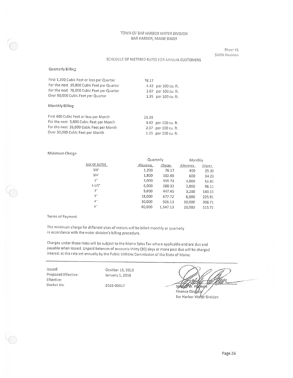Sheet #1 **SIXTH Revision** 

#### SCHEDULE OF METERED RATES FOR ANNUAL CUSTOMERS

#### Quarterly Billing

| First 1,200 Cubic Feet or less per Quarter<br>For the next 10,800 Cubic Feet per Quarter<br>For the next 78,000 Cubic Feet per Quarter<br>Over 90,000 Cubic Feet per Quarter | 76.17<br>2.07         | 4.42 per 100 cu. ft.<br>per 100 cu. ft.<br>1.35 per 100 cu. ft. |
|------------------------------------------------------------------------------------------------------------------------------------------------------------------------------|-----------------------|-----------------------------------------------------------------|
| Monthly Billing                                                                                                                                                              |                       |                                                                 |
| First 400 Cubic Feet or less per Month<br>For the next 3,600 Cubic Feet per Month<br>For the next 26,000 Cubic Feet per Month.<br>Over 30,000 Cubic Feet par Month           | 25.39<br>2.07<br>1.35 | 4.42 per 100 cu. ft.<br>per 100 cu. ft.<br>per 100 cu. ft.      |

#### Minimum Charge

|                    | Quarterly |          | Monthly   |        |  |  |
|--------------------|-----------|----------|-----------|--------|--|--|
| SIZE OF METER      | Allowance | Charge   | Allawance | Charge |  |  |
| 5/8"               | 1,200     | 76.17    | 400       | 25.39  |  |  |
| $3/4$ <sup>"</sup> | 1,800     | 102.69   | 600       | 34.23  |  |  |
| 1"                 | 3,000     | 155.73   | 1,000     | 51.91  |  |  |
| $1 - 1/2^n$        | 6,000     | 288.33   | 2,000     | 96.11  |  |  |
| 2"                 | 9,600     | 447.45   | 3,200     | 149.15 |  |  |
| 3"                 | 18,000    | 677.72   | 6,000     | 225.91 |  |  |
| 4'                 | 30,000    | 926.13   | 10,000    | 308.71 |  |  |
| 6'                 | 60,000    | 1,547.13 | 20,000    | 515.71 |  |  |

#### Terms of Payment

The minimum charge for different sizes of meters will be billed monthly or quarterly in accordance with the water division's billing procedure.

Charges under these rates will be subject to the Maine Sales Tax where applicable and are due and payable when issued. Unpaid balances of accounts thirty (30) days or more past due will be charged interest at the rate set annually by the Public Utilities Commission of the State of Maine.

Issued: Proposed Effective: Effective: Docket No.

Ocotber 15, 2015 January 1, 2016

2015-00317

**State** н Finance Directo

Bar Harbor Water Division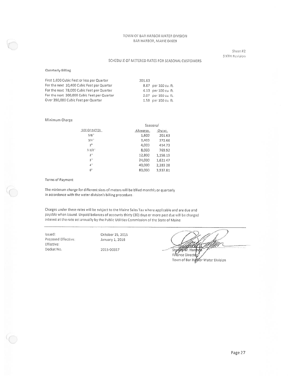Sheet #2 SIXTH Revision

#### SCHEDULE OF METERED RATES FOR SEASONAL CUSTOMERS

#### Quarterly Billing

| First 1,600 Cubic Feet or less per Quarter  | 201.63 |                      |
|---------------------------------------------|--------|----------------------|
| For the next 10,400 Cubic Feet per Quarter  |        | 8.87 per 100 cu. ft. |
| For the next 78,000 Cubic Feet per Quarter  |        | 4.13 per 100 cu. ft. |
| For the next 300,000 Cubic Feet per Quarter |        | 2.07 per 100 cu. ft. |
| Over 390,000 Cubic Feet per Quarter         |        | 1.58 per 100 cu. ft. |

#### Minimum Charge

|                        | Seasonal  |          |
|------------------------|-----------|----------|
| SIZE OF METER          | ephawellA | Charge   |
| 5/8"                   | 1,600     | 201.63   |
| $3/4$ <sup>1</sup>     | 2,400     | 272.66   |
| 1"                     | 4,000     | 414.73   |
| $1 - 1/2$ <sup>*</sup> | 8,000     | 769.92   |
| 2 <sup>n</sup>         | 12,800    | 1,158.19 |
| 3 <sup>11</sup>        | 24,000    | 1,621.47 |
| 4"                     | 40,000    | 2,283.28 |
| 6"                     | 80,000    | 3.937.81 |

#### **Terms of Payment**

The minimum charge for different sizes of meters will be billed monthly or quarterly in accordance with the water division's billing procedure.

Charges under these rates will be subject to the Maine Sales Tax where applicable and are due and payable when issued. Unpaid balances of accounts thirty (30) days or more past due will be charged interest at the rate set annually by the Public Utilities Commission of the State of Maine.

Issued: Proposed Effective: Effective: Docket No.

October 15, 2015 January 1, 2016 2015-00317

Stanley W. Harmd

Finance Director Town of Bar Hatkor Water Division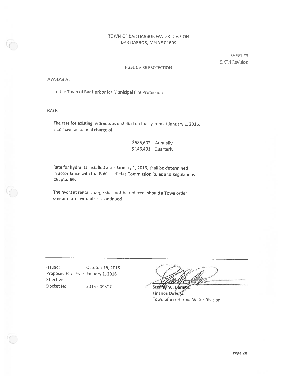SHEET#3 SIXTH Revision

#### PUBLIC FIRE PROTECTION

AVAILABLE:

To the Town of Bar Harbor for Municipal Fire Protection

RATE:

The rate for existing hydrants as installed on the system at January 1, 2016, shall have an annual charge of

| \$585,602 | Annually  |
|-----------|-----------|
| \$146,401 | Quarterly |

Rate for hydrants installed after January 1, 2016, shall be determined in accordance with the Public Utilities Commission Rules and Regulations Chapter 69.

The hydrant rental charge shall not be reduced, should a Town order one or more hydrants discontinued.

Issued: October 15, 2015 Proposed Effective: January 1, 2016 Effective: Docket No. 2015 - 00317

Stanley

W. Harry Finance Director Town of Bar Harbor Water Division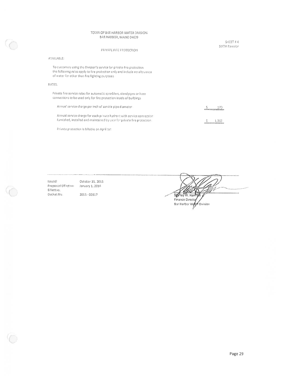#### PRIVATE FIRE PROTECTION

#### AVAILABLE:

To customers using the Division's service for private fire protection the following rates apply to fire protection only and include no allowance of water for other than fire fighting purposes.

#### RATES:

Private fire service rates for automatic sprinklers, standpipes or hose connections to be used only for fire protection inside of buildings.

| Annual service charge per inch of service pipe diameter.                 | 170<br>the manufacturer of the control of the con- |
|--------------------------------------------------------------------------|----------------------------------------------------|
| Annual service charge for each private hydrant with service connection   | 1.362                                              |
| furnished, installed and maintained by user for private fire protection. | <u>,,,,,,,,,,,,,,,,,,,,,,,,,</u> ,                 |

Private protection is billable on April 1st

Issued: October 15, 2015 Proposed Effective: January 1, 2016 Effective. Docket No. 2015 - 00317

Sighley W. Harr Finance Director Bar Harbor World Division

SHEET # 4 SIXTH Revision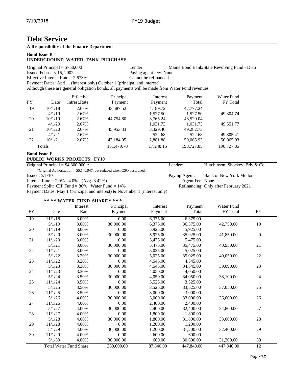# **Debt Service**

## **A Responsibility of the Finance Department**

#### **Bond Issue B**

# **UNDERGROUND WATER TANK PURCHASE**

|           |                                 | UNDERGROUND WATER TAINR FURCHASE    |                                                                                                  |                        |            |                                            |  |
|-----------|---------------------------------|-------------------------------------|--------------------------------------------------------------------------------------------------|------------------------|------------|--------------------------------------------|--|
|           | Original Principal = $$750,000$ |                                     | Lender:                                                                                          |                        |            | Maine Bond Bank/State Revolving Fund - DHS |  |
|           | Issued February 15, 2002        |                                     |                                                                                                  | Paying agent fee: None |            |                                            |  |
|           |                                 | Effective Interest Rate $= 2.673\%$ |                                                                                                  | Cannot be refinanced.  |            |                                            |  |
|           |                                 |                                     | Payment Dates: April 1 (interest only) October 1 (principal and interest)                        |                        |            |                                            |  |
|           |                                 |                                     | Although these are general obligation bonds, all payments will be made from Water Fund revenues. |                        |            |                                            |  |
|           |                                 | Effective                           | Principal                                                                                        | Interest               | Payment    | Water Fund                                 |  |
| <b>FY</b> | Date                            | Intrest.Rate                        | Payment                                                                                          | Payment                | Total      | <b>FY</b> Total                            |  |
| -19       | 10/1/18                         | 2.67%                               | 43,587.52                                                                                        | 4,189.72               | 47,777.24  |                                            |  |
|           | 4/1/19                          | 2.67%                               |                                                                                                  | 1,527.50               | 1.527.50   | 49.304.74                                  |  |
| 20        | 10/1/19                         | 2.67%                               | 44,754.80                                                                                        | 3,765.24               | 48,520.04  |                                            |  |
|           | 4/1/20                          | 2.67%                               |                                                                                                  | 1.031.73               | 1.031.73   | 49,551.77                                  |  |
| 21        | 10/1/20                         | 2.67%                               | 45,953.33                                                                                        | 3,329.40               | 49,282.73  |                                            |  |
|           | 4/1/21                          | 2.67%                               |                                                                                                  | 522.68                 | 522.68     | 49,805.41                                  |  |
| 22        | 10/1/21                         | 2.67%                               | 47,184.05                                                                                        | 2,881.88               | 50,065.93  | 50,065.93                                  |  |
|           | Totals                          |                                     | 181,479.70                                                                                       | 17,248.15              | 198,727.85 | 198,727.85                                 |  |

#### **Bond Issue F PUBLIC WORKS PROJECTS: FY10**

Original Principal = \$4,300,000 \* Lender: Hutchinson, Shockey, Erly & Co.

\*Original Authorization =  $$5,140,947$ , but reduced when CSO postponed.<br>Issued:  $5/1/10$ Interest Rate =  $2.0\% - 4.0\%$  (Avg.-3.42%)

Payment Split: CIP Fund = 86% Water Fund = 14% Refinancing: Only after February 2021

Payment Dates: May 1 (principal and interest) & November 1 (interest only)

Paying Agent: Bank of New York Mellon<br>Agent Fee: None

## **\* \* \* \* WATER FUND SHARE \* \* \* \***

|            |                               | Interest | Principal  | Interest  | Payment    | Water Fund |            |
|------------|-------------------------------|----------|------------|-----------|------------|------------|------------|
| ${\rm FY}$ | Date                          | Rate     | Payment    | Payment   | Total      | FY Total   | ${\rm FY}$ |
| 19         | 11/1/18                       | 3.00%    | 0.00       | 6,375.00  | 6,375.00   |            |            |
|            | 5/1/19                        | 3.00%    | 30,000.00  | 6,375.00  | 36,375.00  | 42,750.00  | 19         |
| 20         | 11/1/19                       | 3.00%    | 0.00       | 5,925.00  | 5,925.00   |            |            |
|            | 5/1/20                        | 3.00%    | 30,000.00  | 5,925.00  | 35,925.00  | 41,850.00  | 20         |
| 21         | 11/1/20                       | 3.00%    | 0.00       | 5,475.00  | 5,475.00   |            |            |
|            | 5/1/21                        | 3.00%    | 30,000.00  | 5,475.00  | 35,475.00  | 40,950.00  | 21         |
| 22         | 11/1/21                       | 3.00%    | 0.00       | 5,025.00  | 5,025.00   |            |            |
|            | 5/1/22                        | 3.20%    | 30,000.00  | 5,025.00  | 35,025.00  | 40,050.00  | 22         |
| 23         | 11/1/22                       | 3.20%    | 0.00       | 4,545.00  | 4,545.00   |            |            |
|            | 5/1/23                        | 3.30%    | 30,000.00  | 4,545.00  | 34,545.00  | 39,090.00  | 23         |
| 24         | 11/1/23                       | 3.30%    | 0.00       | 4,050.00  | 4.050.00   |            |            |
|            | 5/1/24                        | 3.50%    | 30,000.00  | 4,050.00  | 34,050.00  | 38,100.00  | 24         |
| 25         | 11/1/24                       | 3.50%    | 0.00       | 3,525.00  | 3,525.00   |            |            |
|            | 5/1/25                        | 3.50%    | 30,000.00  | 3,525.00  | 33,525.00  | 37,050.00  | 25         |
| 26         | 11/1/25                       | 3.50%    | 0.00       | 3,000.00  | 3,000.00   |            |            |
|            | 5/1/26                        | 4.00%    | 30,000.00  | 3,000.00  | 33,000.00  | 36,000.00  | 26         |
| 27         | 11/1/26                       | 4.00%    | 0.00       | 2,400.00  | 2,400.00   |            |            |
|            | 5/1/27                        | 4.00%    | 30,000.00  | 2,400.00  | 32,400.00  | 34,800.00  | 27         |
| 28         | 11/1/27                       | 4.00%    | 0.00       | 1,800.00  | 1,800.00   |            |            |
|            | 5/1/28                        | 4.00%    | 30,000.00  | 1,800.00  | 31,800.00  | 33,600.00  | $28\,$     |
| 29         | 11/1/28                       | 4.00%    | 0.00       | 1,200.00  | 1,200.00   |            |            |
|            | 5/1/29                        | 4.00%    | 30,000.00  | 1,200.00  | 31,200.00  | 32,400.00  | 29         |
| 30         | 11/1/29                       | 4.00%    | 0.00       | 600.00    | 600.00     |            |            |
|            | 5/1/30                        | 4.00%    | 30,000.00  | 600.00    | 30,600.00  | 31,200.00  | 30         |
|            | <b>Total Water Fund Share</b> |          | 360,000.00 | 87,840.00 | 447,840.00 | 447,840.00 | 12         |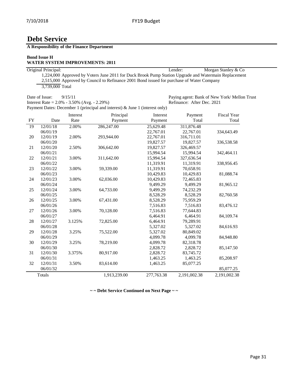# **Debt Service**

**A Responsibility of the Finance Department**

#### **Bond Issue H**

| <b>WATER SYSTEM IMPROVEMENTS: 2011</b> |  |  |  |  |  |
|----------------------------------------|--|--|--|--|--|
|----------------------------------------|--|--|--|--|--|

| Original Principal:                                                                                  | Lender: | Morgan Stanley & Co |
|------------------------------------------------------------------------------------------------------|---------|---------------------|
| 1,224,000 Approved by Voters June 2011 for Duck Brook Pump Station Upgrade and Watermain Replacement |         |                     |
| 2,515,000 Approved by Council to Refinance 2001 Bond issued for purchase of Water Company            |         |                     |
| 3.739,000 Total                                                                                      |         |                     |

Date of Issue: 9/15/11 Paying agent: Bank of New York/ Mellon Trust<br>Interest Rate = 2.0% - 3.50% (Avg. - 2.29%) Refinance: After Dec. 2021 Interest Rate =  $2.0\%$  -  $3.50\%$  (Avg. -  $2.29\%$ ) Payment Dates: December 1 (principal and interest) & June 1 (interest only)

Interest Principal Interest Payment Fiscal Year FY Date Rate Payment Payment Total Total 19 12/01/18 2.00% 286,247.00 25,629.48 311,876.48 06/01/19 22,767.01 22,767.01 334,643.49 20 12/01/19 2.00% 293,944.00 22,767.01 316,711.01 06/01/20 19,827.57 19,827.57 06/01/20 19,827.57 19,827.57 336,538.58 21 12/01/20 2.50% 306,642.00 19,827.57 326,469.57 06/01/21 15,994.54 06/01/21 15,994.54 15,994.54 342,464.11 22 12/01/21 3.00% 311,642.00 15,994.54 327,636.54 06/01/22 11,319.91 06/01/22 11,319.91 11,319.91 338,956.45 23 12/01/22 3.00% 59,339.00 11,319.91 70,658.91 06/01/23 10,429.83 10,429.83 81,088.74 24 12/01/23 3.00% 62,036.00 10,429.83 72,465.83 06/01/24 9,499.29 9,499.29 81,965.12 25 12/01/24 3.00% 64,733.00 9,499.29 74,232.29 06/01/25 8,528.29 9 06/01/25 8,528.29 82,760.58 26 12/01/25 3.00% 67,431.00 8,528.29 75,959.29 06/01/26 7,516.83 7,516.83 83,476.12 27 12/01/26 3.00% 70,128.00 7,516.83 77,644.83 06/01/27 6,464.91 6,464.91 84,109.74 28 12/01/27 3.125% 72,825.00 6,464.91 79,289.91 06/01/28 5,327.02 5,327.02 84,616.93 29 12/01/28 3.25% 75,522.00 5,327.02 80,849.02 06/01/29 4,099.78 4,099.78 84,948.80 30 12/01/29 3.25% 78,219.00 4,099.78 82,318.78 06/01/30 2,828.72 2,828.72 85,147.50 31 12/01/30 3.375% 80,917.00 2,828.72 83,745.72 06/01/31 1,463.25 1,463.25 85,208.97 32 12/01/31 3.50% 83,614.00 1,463.25 85,077.25 06/01/32 85,077.25 Totals 1,913,239.00 277,763.38 2,191,002.38 2,191,002.38

**~ ~ Debt Service Continued on Next Page ~ ~**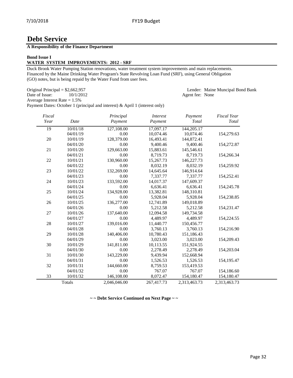Agent fee: None

# **Debt Service**

# **A Responsibility of the Finance Department**

#### **Bond Issue I**

### **WATER SYSTEM IMPROVEMENTS: 2012 - SRF**

Duck Brook Water Pumping Station renovations, water treatment system improvements and main replacements. Financed by the Maine Drinking Water Program's State Revolving Loan Fund (SRF), using General Obligation (GO) notes, but is being repaid by the Water Fund from user fees.

Original Principal = \$2,662,957 Lender: Maine Muncipal Bond Bank<br>Date of Issue: 10/1/2012 Agent fee: None

Average Interest Rate = 1.5%

Payment Dates: October 1 (principal and interest) & April 1 (interest only)

| Fiscal<br>Year | Date     | Principal<br>Payment | <i>Interest</i><br>Payment | Payment<br>Total | <b>Fiscal Year</b><br>Total |
|----------------|----------|----------------------|----------------------------|------------------|-----------------------------|
| 19             | 10/01/18 | 127,108.00           | 17,097.17                  | 144,205.17       |                             |
|                | 04/01/19 | 0.00                 | 10,074.46                  | 10,074.46        | 154,279.63                  |
| 20             | 10/01/19 | 128,379.00           | 16,493.41                  | 144,872.41       |                             |
|                | 04/01/20 | $0.00\,$             | 9,400.46                   | 9,400.46         | 154,272.87                  |
| 21             | 10/01/20 | 129,663.00           | 15,883.61                  | 145,546.61       |                             |
|                | 04/01/21 | 0.00                 | 8,719.73                   | 8,719.73         | 154,266.34                  |
| 22             | 10/01/21 | 130,960.00           | 15,267.73                  | 146,227.73       |                             |
|                | 04/01/22 | 0.00                 | 8,032.19                   | 8,032.19         | 154,259.92                  |
| 23             | 10/01/22 | 132,269.00           | 14,645.64                  | 146,914.64       |                             |
|                | 04/01/23 | 0.00                 | 7,337.77                   | 7,337.77         | 154,252.41                  |
| 24             | 10/01/23 | 133,592.00           | 14,017.37                  | 147,609.37       |                             |
|                | 04/01/24 | 0.00                 | 6,636.41                   | 6,636.41         | 154,245.78                  |
| 25             | 10/01/24 | 134,928.00           | 13,382.81                  | 148,310.81       |                             |
|                | 04/01/25 | 0.00                 | 5,928.04                   | 5,928.04         | 154,238.85                  |
| 26             | 10/01/25 | 136,277.00           | 12,741.89                  | 149,018.89       |                             |
|                | 04/01/26 | 0.00                 | 5,212.58                   | 5,212.58         | 154,231.47                  |
| 27             | 10/01/26 | 137,640.00           | 12,094.58                  | 149,734.58       |                             |
|                | 04/01/27 | 0.00                 | 4,489.97                   | 4,489.97         | 154,224.55                  |
| 28             | 10/01/27 | 139,016.00           | 11,440.77                  | 150,456.77       |                             |
|                | 04/01/28 | 0.00                 | 3,760.13                   | 3,760.13         | 154,216.90                  |
| 29             | 10/01/28 | 140,406.00           | 10,780.43                  | 151,186.43       |                             |
|                | 04/01/29 | 0.00                 | 3,023.00                   | 3,023.00         | 154,209.43                  |
| 30             | 10/01/29 | 141,811.00           | 10,113.55                  | 151,924.55       |                             |
|                | 04/01/30 | 0.00                 | 2,278.49                   | 2,278.49         | 154,203.04                  |
| 31             | 10/01/30 | 143,229.00           | 9,439.94                   | 152,668.94       |                             |
|                | 04/01/31 | 0.00                 | 1,526.53                   | 1,526.53         | 154,195.47                  |
| 32             | 10/01/31 | 144,660.00           | 8,759.53                   | 153,419.53       |                             |
|                | 04/01/32 | 0.00                 | 767.07                     | 767.07           | 154,186.60                  |
| 33             | 10/01/32 | 146,108.00           | 8,072.47                   | 154,180.47       | 154,180.47                  |
|                | Totals   | 2,046,046.00         | 267,417.73                 | 2,313,463.73     | 2,313,463.73                |

**~ ~ Debt Service Continued on Next Page ~ ~**